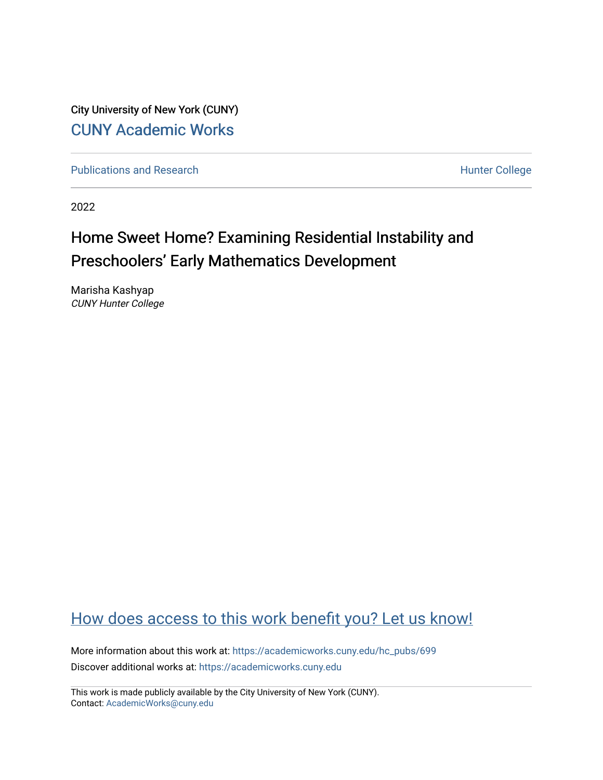City University of New York (CUNY) [CUNY Academic Works](https://academicworks.cuny.edu/) 

[Publications and Research](https://academicworks.cuny.edu/hc_pubs) **Hunter College** Hunter College

2022

# Home Sweet Home? Examining Residential Instability and Preschoolers' Early Mathematics Development

Marisha Kashyap CUNY Hunter College

## [How does access to this work benefit you? Let us know!](http://ols.cuny.edu/academicworks/?ref=https://academicworks.cuny.edu/hc_pubs/699)

More information about this work at: [https://academicworks.cuny.edu/hc\\_pubs/699](https://academicworks.cuny.edu/hc_pubs/699) Discover additional works at: [https://academicworks.cuny.edu](https://academicworks.cuny.edu/?)

This work is made publicly available by the City University of New York (CUNY). Contact: [AcademicWorks@cuny.edu](mailto:AcademicWorks@cuny.edu)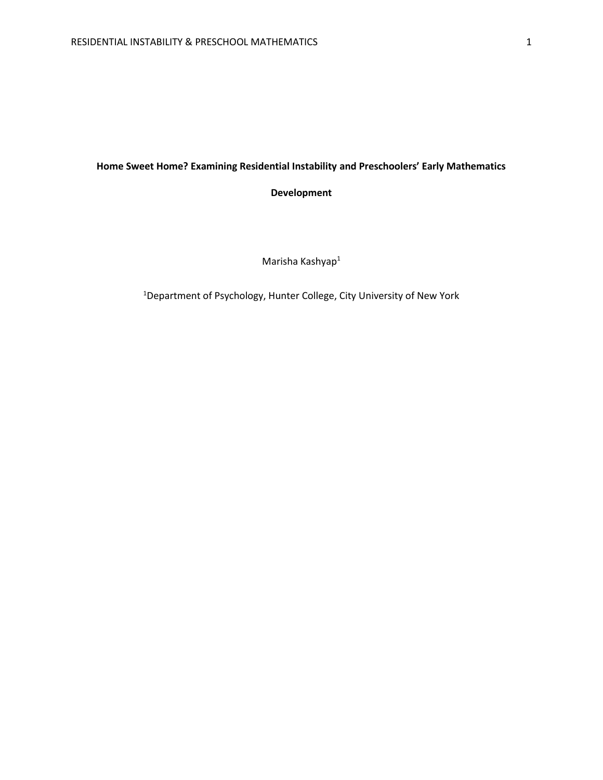## **Home Sweet Home? Examining Residential Instability and Preschoolers' Early Mathematics**

**Development**

Marisha Kashyap<sup>1</sup>

1Department of Psychology, Hunter College, City University of New York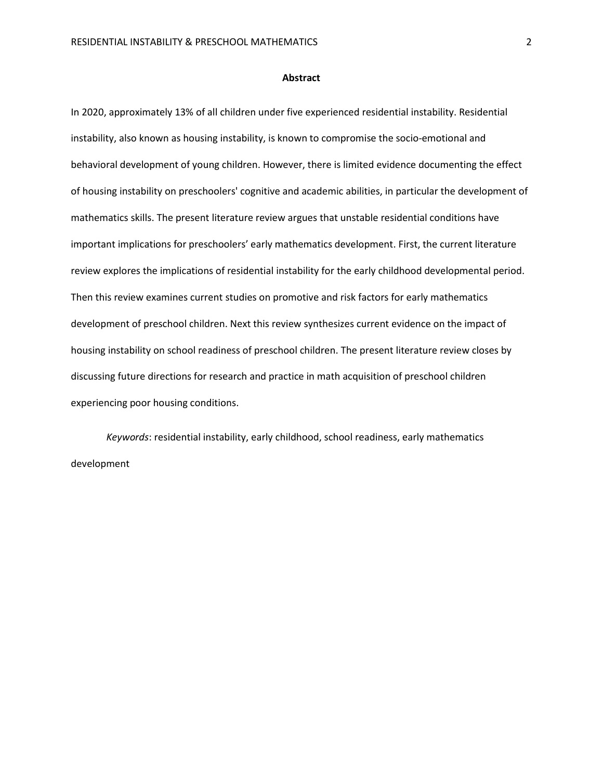#### **Abstract**

In 2020, approximately 13% of all children under five experienced residential instability. Residential instability, also known as housing instability, is known to compromise the socio-emotional and behavioral development of young children. However, there is limited evidence documenting the effect of housing instability on preschoolers' cognitive and academic abilities, in particular the development of mathematics skills. The present literature review argues that unstable residential conditions have important implications for preschoolers' early mathematics development. First, the current literature review explores the implications of residential instability for the early childhood developmental period. Then this review examines current studies on promotive and risk factors for early mathematics development of preschool children. Next this review synthesizes current evidence on the impact of housing instability on school readiness of preschool children. The present literature review closes by discussing future directions for research and practice in math acquisition of preschool children experiencing poor housing conditions.

*Keywords*: residential instability, early childhood, school readiness, early mathematics development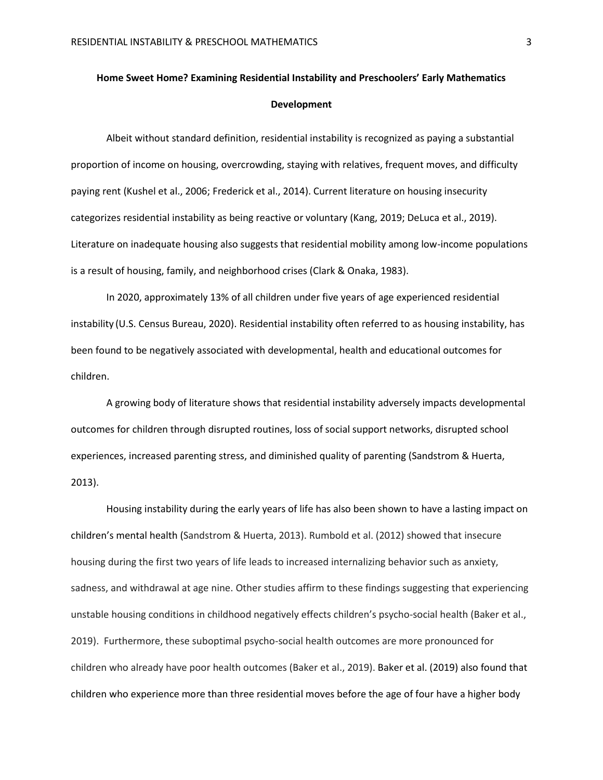## **Home Sweet Home? Examining Residential Instability and Preschoolers' Early Mathematics Development**

Albeit without standard definition, residential instability is recognized as paying a substantial proportion of income on housing, overcrowding, staying with relatives, frequent moves, and difficulty paying rent (Kushel et al., 2006; Frederick et al., 2014). Current literature on housing insecurity categorizes residential instability as being reactive or voluntary (Kang, 2019; DeLuca et al., 2019). Literature on inadequate housing also suggests that residential mobility among low-income populations is a result of housing, family, and neighborhood crises (Clark & Onaka, 1983).

In 2020, approximately 13% of all children under five years of age experienced residential instability (U.S. Census Bureau, 2020). Residential instability often referred to as housing instability, has been found to be negatively associated with developmental, health and educational outcomes for children.

A growing body of literature shows that residential instability adversely impacts developmental outcomes for children through disrupted routines, loss of social support networks, disrupted school experiences, increased parenting stress, and diminished quality of parenting (Sandstrom & Huerta, 2013).

Housing instability during the early years of life has also been shown to have a lasting impact on children's mental health (Sandstrom & Huerta, 2013). Rumbold et al. (2012) showed that insecure housing during the first two years of life leads to increased internalizing behavior such as anxiety, sadness, and withdrawal at age nine. Other studies affirm to these findings suggesting that experiencing unstable housing conditions in childhood negatively effects children's psycho-social health (Baker et al., 2019). Furthermore, these suboptimal psycho-social health outcomes are more pronounced for children who already have poor health outcomes (Baker et al., 2019). Baker et al. (2019) also found that children who experience more than three residential moves before the age of four have a higher body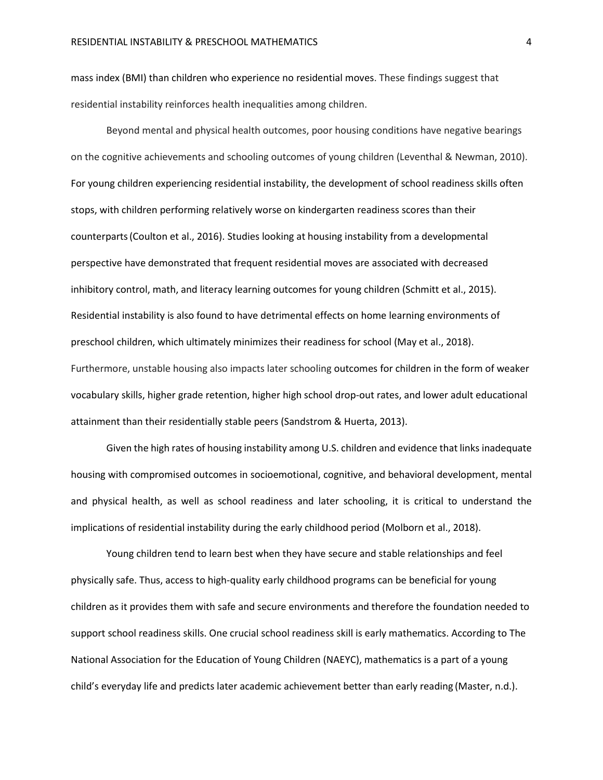mass index (BMI) than children who experience no residential moves. These findings suggest that residential instability reinforces health inequalities among children.

Beyond mental and physical health outcomes, poor housing conditions have negative bearings on the cognitive achievements and schooling outcomes of young children (Leventhal & Newman, 2010). For young children experiencing residential instability, the development of school readiness skills often stops, with children performing relatively worse on kindergarten readiness scores than their counterparts(Coulton et al., 2016). Studies looking at housing instability from a developmental perspective have demonstrated that frequent residential moves are associated with decreased inhibitory control, math, and literacy learning outcomes for young children (Schmitt et al., 2015). Residential instability is also found to have detrimental effects on home learning environments of preschool children, which ultimately minimizes their readiness for school (May et al., 2018). Furthermore, unstable housing also impacts later schooling outcomes for children in the form of weaker vocabulary skills, higher grade retention, higher high school drop-out rates, and lower adult educational attainment than their residentially stable peers (Sandstrom & Huerta, 2013).

Given the high rates of housing instability among U.S. children and evidence that links inadequate housing with compromised outcomes in socioemotional, cognitive, and behavioral development, mental and physical health, as well as school readiness and later schooling, it is critical to understand the implications of residential instability during the early childhood period (Molborn et al., 2018).

Young children tend to learn best when they have secure and stable relationships and feel physically safe. Thus, access to high-quality early childhood programs can be beneficial for young children as it provides them with safe and secure environments and therefore the foundation needed to support school readiness skills. One crucial school readiness skill is early mathematics. According to The National Association for the Education of Young Children (NAEYC), mathematics is a part of a young child's everyday life and predicts later academic achievement better than early reading (Master, n.d.).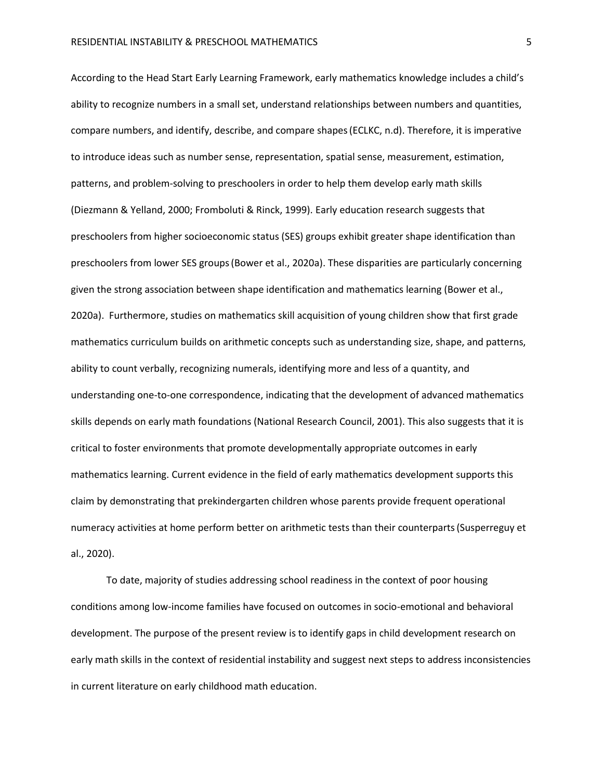According to the Head Start Early Learning Framework, early mathematics knowledge includes a child's ability to recognize numbers in a small set, understand relationships between numbers and quantities, compare numbers, and identify, describe, and compare shapes(ECLKC, n.d). Therefore, it is imperative to introduce ideas such as number sense, representation, spatial sense, measurement, estimation, patterns, and problem-solving to preschoolers in order to help them develop early math skills (Diezmann & Yelland, 2000; Fromboluti & Rinck, 1999). Early education research suggests that preschoolers from higher socioeconomic status (SES) groups exhibit greater shape identification than preschoolers from lower SES groups(Bower et al., 2020a). These disparities are particularly concerning given the strong association between shape identification and mathematics learning (Bower et al., 2020a). Furthermore, studies on mathematics skill acquisition of young children show that first grade mathematics curriculum builds on arithmetic concepts such as understanding size, shape, and patterns, ability to count verbally, recognizing numerals, identifying more and less of a quantity, and understanding one-to-one correspondence, indicating that the development of advanced mathematics skills depends on early math foundations (National Research Council, 2001). This also suggests that it is critical to foster environments that promote developmentally appropriate outcomes in early mathematics learning. Current evidence in the field of early mathematics development supports this claim by demonstrating that prekindergarten children whose parents provide frequent operational numeracy activities at home perform better on arithmetic tests than their counterparts(Susperreguy et al., 2020).

To date, majority of studies addressing school readiness in the context of poor housing conditions among low-income families have focused on outcomes in socio-emotional and behavioral development. The purpose of the present review is to identify gaps in child development research on early math skills in the context of residential instability and suggest next steps to address inconsistencies in current literature on early childhood math education.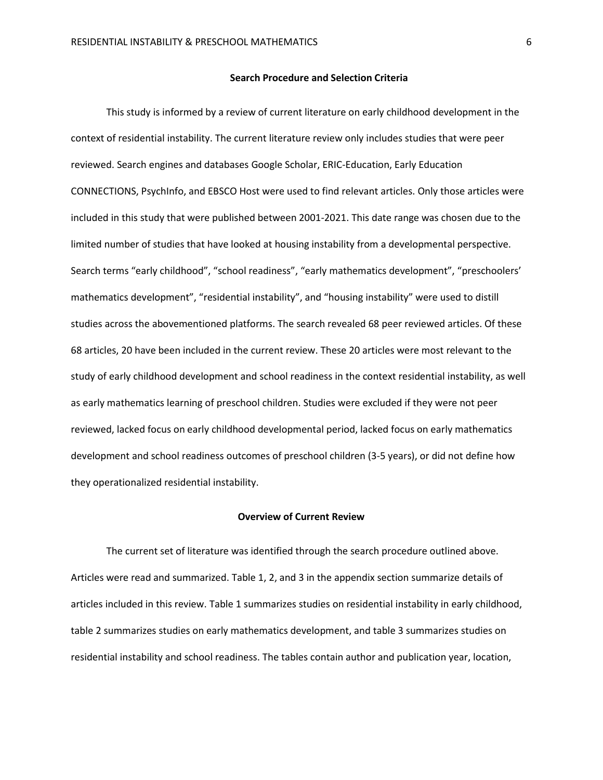#### **Search Procedure and Selection Criteria**

This study is informed by a review of current literature on early childhood development in the context of residential instability. The current literature review only includes studies that were peer reviewed. Search engines and databases Google Scholar, ERIC-Education, Early Education CONNECTIONS, PsychInfo, and EBSCO Host were used to find relevant articles. Only those articles were included in this study that were published between 2001-2021. This date range was chosen due to the limited number of studies that have looked at housing instability from a developmental perspective. Search terms "early childhood", "school readiness", "early mathematics development", "preschoolers' mathematics development", "residential instability", and "housing instability" were used to distill studies across the abovementioned platforms. The search revealed 68 peer reviewed articles. Of these 68 articles, 20 have been included in the current review. These 20 articles were most relevant to the study of early childhood development and school readiness in the context residential instability, as well as early mathematics learning of preschool children. Studies were excluded if they were not peer reviewed, lacked focus on early childhood developmental period, lacked focus on early mathematics development and school readiness outcomes of preschool children (3-5 years), or did not define how they operationalized residential instability.

#### **Overview of Current Review**

The current set of literature was identified through the search procedure outlined above. Articles were read and summarized. Table 1, 2, and 3 in the appendix section summarize details of articles included in this review. Table 1 summarizes studies on residential instability in early childhood, table 2 summarizes studies on early mathematics development, and table 3 summarizes studies on residential instability and school readiness. The tables contain author and publication year, location,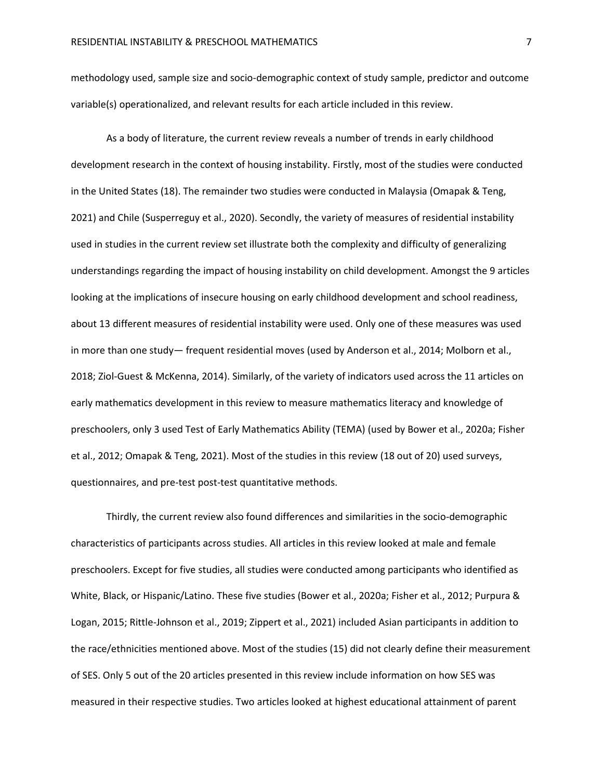methodology used, sample size and socio-demographic context of study sample, predictor and outcome variable(s) operationalized, and relevant results for each article included in this review.

As a body of literature, the current review reveals a number of trends in early childhood development research in the context of housing instability. Firstly, most of the studies were conducted in the United States (18). The remainder two studies were conducted in Malaysia (Omapak & Teng, 2021) and Chile (Susperreguy et al., 2020). Secondly, the variety of measures of residential instability used in studies in the current review set illustrate both the complexity and difficulty of generalizing understandings regarding the impact of housing instability on child development. Amongst the 9 articles looking at the implications of insecure housing on early childhood development and school readiness, about 13 different measures of residential instability were used. Only one of these measures was used in more than one study— frequent residential moves (used by Anderson et al., 2014; Molborn et al., 2018; Ziol-Guest & McKenna, 2014). Similarly, of the variety of indicators used across the 11 articles on early mathematics development in this review to measure mathematics literacy and knowledge of preschoolers, only 3 used Test of Early Mathematics Ability (TEMA) (used by Bower et al., 2020a; Fisher et al., 2012; Omapak & Teng, 2021). Most of the studies in this review (18 out of 20) used surveys, questionnaires, and pre-test post-test quantitative methods.

Thirdly, the current review also found differences and similarities in the socio-demographic characteristics of participants across studies. All articles in this review looked at male and female preschoolers. Except for five studies, all studies were conducted among participants who identified as White, Black, or Hispanic/Latino. These five studies (Bower et al., 2020a; Fisher et al., 2012; Purpura & Logan, 2015; Rittle-Johnson et al., 2019; Zippert et al., 2021) included Asian participants in addition to the race/ethnicities mentioned above. Most of the studies (15) did not clearly define their measurement of SES. Only 5 out of the 20 articles presented in this review include information on how SES was measured in their respective studies. Two articles looked at highest educational attainment of parent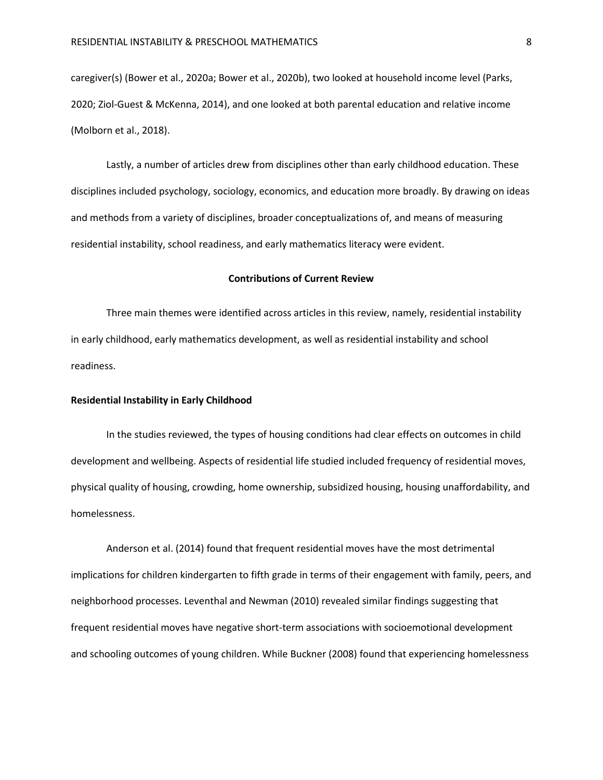caregiver(s) (Bower et al., 2020a; Bower et al., 2020b), two looked at household income level (Parks, 2020; Ziol-Guest & McKenna, 2014), and one looked at both parental education and relative income (Molborn et al., 2018).

Lastly, a number of articles drew from disciplines other than early childhood education. These disciplines included psychology, sociology, economics, and education more broadly. By drawing on ideas and methods from a variety of disciplines, broader conceptualizations of, and means of measuring residential instability, school readiness, and early mathematics literacy were evident.

#### **Contributions of Current Review**

Three main themes were identified across articles in this review, namely, residential instability in early childhood, early mathematics development, as well as residential instability and school readiness.

#### **Residential Instability in Early Childhood**

In the studies reviewed, the types of housing conditions had clear effects on outcomes in child development and wellbeing. Aspects of residential life studied included frequency of residential moves, physical quality of housing, crowding, home ownership, subsidized housing, housing unaffordability, and homelessness.

Anderson et al. (2014) found that frequent residential moves have the most detrimental implications for children kindergarten to fifth grade in terms of their engagement with family, peers, and neighborhood processes. Leventhal and Newman (2010) revealed similar findings suggesting that frequent residential moves have negative short-term associations with socioemotional development and schooling outcomes of young children. While Buckner (2008) found that experiencing homelessness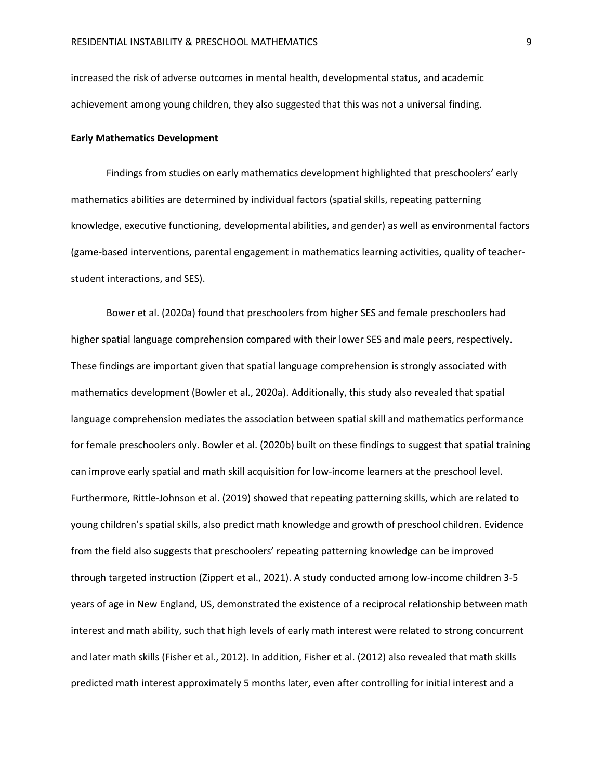increased the risk of adverse outcomes in mental health, developmental status, and academic achievement among young children, they also suggested that this was not a universal finding.

#### **Early Mathematics Development**

Findings from studies on early mathematics development highlighted that preschoolers' early mathematics abilities are determined by individual factors (spatial skills, repeating patterning knowledge, executive functioning, developmental abilities, and gender) as well as environmental factors (game-based interventions, parental engagement in mathematics learning activities, quality of teacherstudent interactions, and SES).

Bower et al. (2020a) found that preschoolers from higher SES and female preschoolers had higher spatial language comprehension compared with their lower SES and male peers, respectively. These findings are important given that spatial language comprehension is strongly associated with mathematics development (Bowler et al., 2020a). Additionally, this study also revealed that spatial language comprehension mediates the association between spatial skill and mathematics performance for female preschoolers only. Bowler et al. (2020b) built on these findings to suggest that spatial training can improve early spatial and math skill acquisition for low-income learners at the preschool level. Furthermore, Rittle-Johnson et al. (2019) showed that repeating patterning skills, which are related to young children's spatial skills, also predict math knowledge and growth of preschool children. Evidence from the field also suggests that preschoolers' repeating patterning knowledge can be improved through targeted instruction (Zippert et al., 2021). A study conducted among low-income children 3-5 years of age in New England, US, demonstrated the existence of a reciprocal relationship between math interest and math ability, such that high levels of early math interest were related to strong concurrent and later math skills (Fisher et al., 2012). In addition, Fisher et al. (2012) also revealed that math skills predicted math interest approximately 5 months later, even after controlling for initial interest and a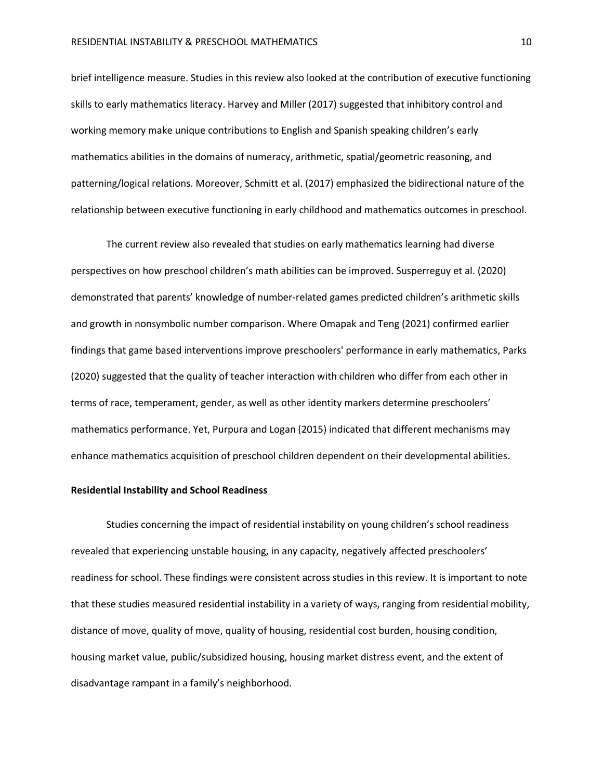brief intelligence measure. Studies in this review also looked at the contribution of executive functioning skills to early mathematics literacy. Harvey and Miller (2017) suggested that inhibitory control and working memory make unique contributions to English and Spanish speaking children's early mathematics abilities in the domains of numeracy, arithmetic, spatial/geometric reasoning, and patterning/logical relations. Moreover, Schmitt et al. (2017) emphasized the bidirectional nature of the relationship between executive functioning in early childhood and mathematics outcomes in preschool.

The current review also revealed that studies on early mathematics learning had diverse perspectives on how preschool children's math abilities can be improved. Susperreguy et al. (2020) demonstrated that parents' knowledge of number-related games predicted children's arithmetic skills and growth in nonsymbolic number comparison. Where Omapak and Teng (2021) confirmed earlier findings that game based interventions improve preschoolers' performance in early mathematics, Parks (2020) suggested that the quality of teacher interaction with children who differ from each other in terms of race, temperament, gender, as well as other identity markers determine preschoolers' mathematics performance. Yet, Purpura and Logan (2015) indicated that different mechanisms may enhance mathematics acquisition of preschool children dependent on their developmental abilities.

#### **Residential Instability and School Readiness**

Studies concerning the impact of residential instability on young children's school readiness revealed that experiencing unstable housing, in any capacity, negatively affected preschoolers' readiness for school. These findings were consistent across studies in this review. It is important to note that these studies measured residential instability in a variety of ways, ranging from residential mobility, distance of move, quality of move, quality of housing, residential cost burden, housing condition, housing market value, public/subsidized housing, housing market distress event, and the extent of disadvantage rampant in a family's neighborhood.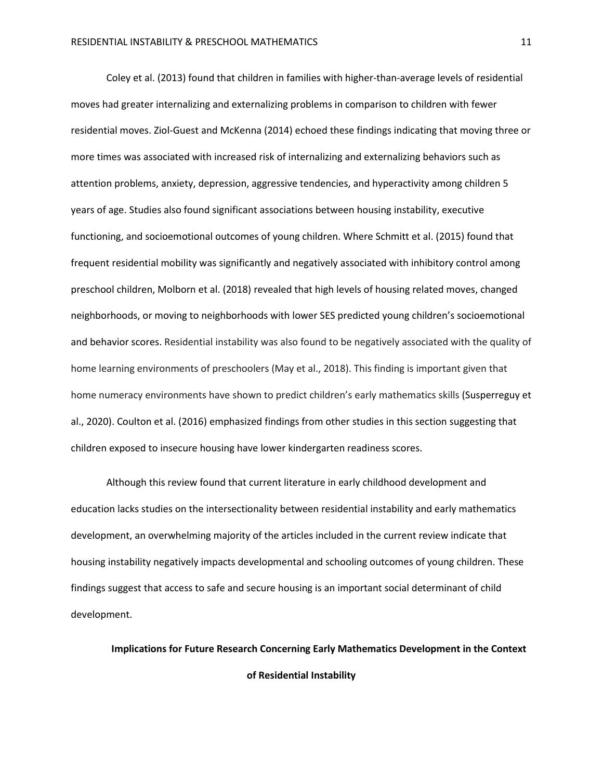Coley et al. (2013) found that children in families with higher-than-average levels of residential moves had greater internalizing and externalizing problems in comparison to children with fewer residential moves. Ziol-Guest and McKenna (2014) echoed these findings indicating that moving three or more times was associated with increased risk of internalizing and externalizing behaviors such as attention problems, anxiety, depression, aggressive tendencies, and hyperactivity among children 5 years of age. Studies also found significant associations between housing instability, executive functioning, and socioemotional outcomes of young children. Where Schmitt et al. (2015) found that frequent residential mobility was significantly and negatively associated with inhibitory control among preschool children, Molborn et al. (2018) revealed that high levels of housing related moves, changed neighborhoods, or moving to neighborhoods with lower SES predicted young children's socioemotional and behavior scores. Residential instability was also found to be negatively associated with the quality of home learning environments of preschoolers (May et al., 2018). This finding is important given that home numeracy environments have shown to predict children's early mathematics skills (Susperreguy et al., 2020). Coulton et al. (2016) emphasized findings from other studies in this section suggesting that children exposed to insecure housing have lower kindergarten readiness scores.

Although this review found that current literature in early childhood development and education lacks studies on the intersectionality between residential instability and early mathematics development, an overwhelming majority of the articles included in the current review indicate that housing instability negatively impacts developmental and schooling outcomes of young children. These findings suggest that access to safe and secure housing is an important social determinant of child development.

**Implications for Future Research Concerning Early Mathematics Development in the Context of Residential Instability**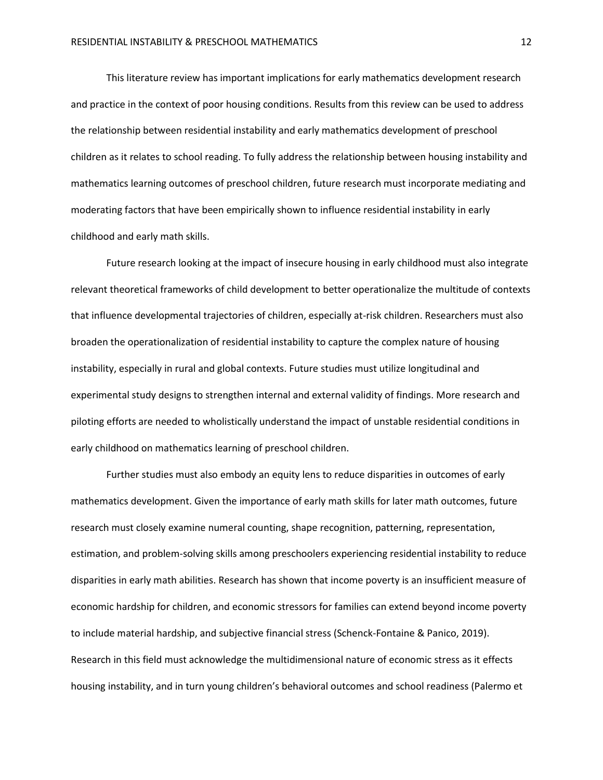This literature review has important implications for early mathematics development research and practice in the context of poor housing conditions. Results from this review can be used to address the relationship between residential instability and early mathematics development of preschool children as it relates to school reading. To fully address the relationship between housing instability and mathematics learning outcomes of preschool children, future research must incorporate mediating and moderating factors that have been empirically shown to influence residential instability in early childhood and early math skills.

Future research looking at the impact of insecure housing in early childhood must also integrate relevant theoretical frameworks of child development to better operationalize the multitude of contexts that influence developmental trajectories of children, especially at-risk children. Researchers must also broaden the operationalization of residential instability to capture the complex nature of housing instability, especially in rural and global contexts. Future studies must utilize longitudinal and experimental study designs to strengthen internal and external validity of findings. More research and piloting efforts are needed to wholistically understand the impact of unstable residential conditions in early childhood on mathematics learning of preschool children.

Further studies must also embody an equity lens to reduce disparities in outcomes of early mathematics development. Given the importance of early math skills for later math outcomes, future research must closely examine numeral counting, shape recognition, patterning, representation, estimation, and problem-solving skills among preschoolers experiencing residential instability to reduce disparities in early math abilities. Research has shown that income poverty is an insufficient measure of economic hardship for children, and economic stressors for families can extend beyond income poverty to include material hardship, and subjective financial stress (Schenck-Fontaine & Panico, 2019). Research in this field must acknowledge the multidimensional nature of economic stress as it effects housing instability, and in turn young children's behavioral outcomes and school readiness (Palermo et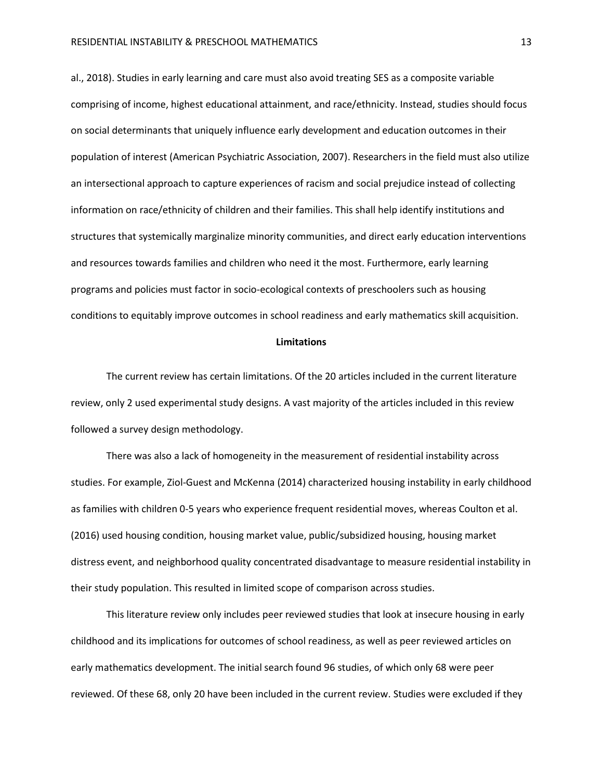al., 2018). Studies in early learning and care must also avoid treating SES as a composite variable comprising of income, highest educational attainment, and race/ethnicity. Instead, studies should focus on social determinants that uniquely influence early development and education outcomes in their population of interest (American Psychiatric Association, 2007). Researchers in the field must also utilize an intersectional approach to capture experiences of racism and social prejudice instead of collecting information on race/ethnicity of children and their families. This shall help identify institutions and structures that systemically marginalize minority communities, and direct early education interventions and resources towards families and children who need it the most. Furthermore, early learning programs and policies must factor in socio-ecological contexts of preschoolers such as housing conditions to equitably improve outcomes in school readiness and early mathematics skill acquisition.

#### **Limitations**

The current review has certain limitations. Of the 20 articles included in the current literature review, only 2 used experimental study designs. A vast majority of the articles included in this review followed a survey design methodology.

There was also a lack of homogeneity in the measurement of residential instability across studies. For example, Ziol-Guest and McKenna (2014) characterized housing instability in early childhood as families with children 0-5 years who experience frequent residential moves, whereas Coulton et al. (2016) used housing condition, housing market value, public/subsidized housing, housing market distress event, and neighborhood quality concentrated disadvantage to measure residential instability in their study population. This resulted in limited scope of comparison across studies.

This literature review only includes peer reviewed studies that look at insecure housing in early childhood and its implications for outcomes of school readiness, as well as peer reviewed articles on early mathematics development. The initial search found 96 studies, of which only 68 were peer reviewed. Of these 68, only 20 have been included in the current review. Studies were excluded if they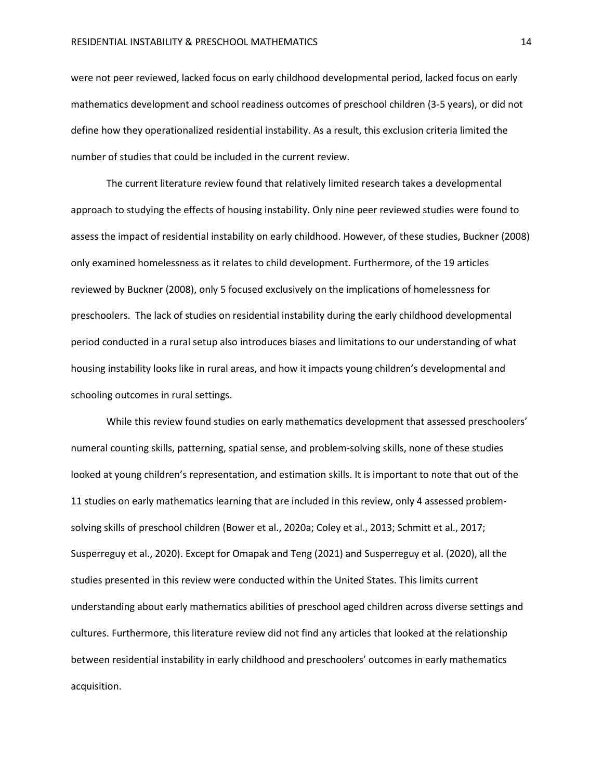were not peer reviewed, lacked focus on early childhood developmental period, lacked focus on early mathematics development and school readiness outcomes of preschool children (3-5 years), or did not define how they operationalized residential instability. As a result, this exclusion criteria limited the number of studies that could be included in the current review.

The current literature review found that relatively limited research takes a developmental approach to studying the effects of housing instability. Only nine peer reviewed studies were found to assess the impact of residential instability on early childhood. However, of these studies, Buckner (2008) only examined homelessness as it relates to child development. Furthermore, of the 19 articles reviewed by Buckner (2008), only 5 focused exclusively on the implications of homelessness for preschoolers. The lack of studies on residential instability during the early childhood developmental period conducted in a rural setup also introduces biases and limitations to our understanding of what housing instability looks like in rural areas, and how it impacts young children's developmental and schooling outcomes in rural settings.

While this review found studies on early mathematics development that assessed preschoolers' numeral counting skills, patterning, spatial sense, and problem-solving skills, none of these studies looked at young children's representation, and estimation skills. It is important to note that out of the 11 studies on early mathematics learning that are included in this review, only 4 assessed problemsolving skills of preschool children (Bower et al., 2020a; Coley et al., 2013; Schmitt et al., 2017; Susperreguy et al., 2020). Except for Omapak and Teng (2021) and Susperreguy et al. (2020), all the studies presented in this review were conducted within the United States. This limits current understanding about early mathematics abilities of preschool aged children across diverse settings and cultures. Furthermore, this literature review did not find any articles that looked at the relationship between residential instability in early childhood and preschoolers' outcomes in early mathematics acquisition.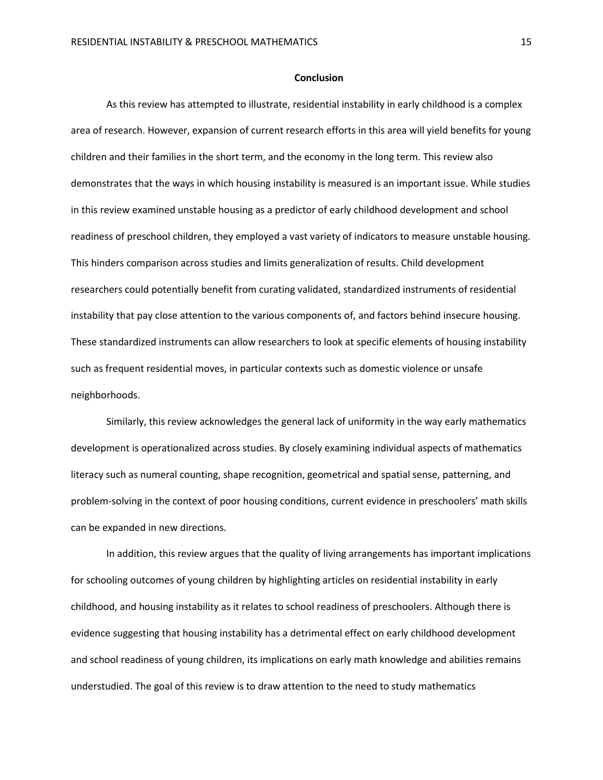#### **Conclusion**

As this review has attempted to illustrate, residential instability in early childhood is a complex area of research. However, expansion of current research efforts in this area will yield benefits for young children and their families in the short term, and the economy in the long term. This review also demonstrates that the ways in which housing instability is measured is an important issue. While studies in this review examined unstable housing as a predictor of early childhood development and school readiness of preschool children, they employed a vast variety of indicators to measure unstable housing. This hinders comparison across studies and limits generalization of results. Child development researchers could potentially benefit from curating validated, standardized instruments of residential instability that pay close attention to the various components of, and factors behind insecure housing. These standardized instruments can allow researchers to look at specific elements of housing instability such as frequent residential moves, in particular contexts such as domestic violence or unsafe neighborhoods.

Similarly, this review acknowledges the general lack of uniformity in the way early mathematics development is operationalized across studies. By closely examining individual aspects of mathematics literacy such as numeral counting, shape recognition, geometrical and spatial sense, patterning, and problem-solving in the context of poor housing conditions, current evidence in preschoolers' math skills can be expanded in new directions.

In addition, this review argues that the quality of living arrangements has important implications for schooling outcomes of young children by highlighting articles on residential instability in early childhood, and housing instability as it relates to school readiness of preschoolers. Although there is evidence suggesting that housing instability has a detrimental effect on early childhood development and school readiness of young children, its implications on early math knowledge and abilities remains understudied. The goal of this review is to draw attention to the need to study mathematics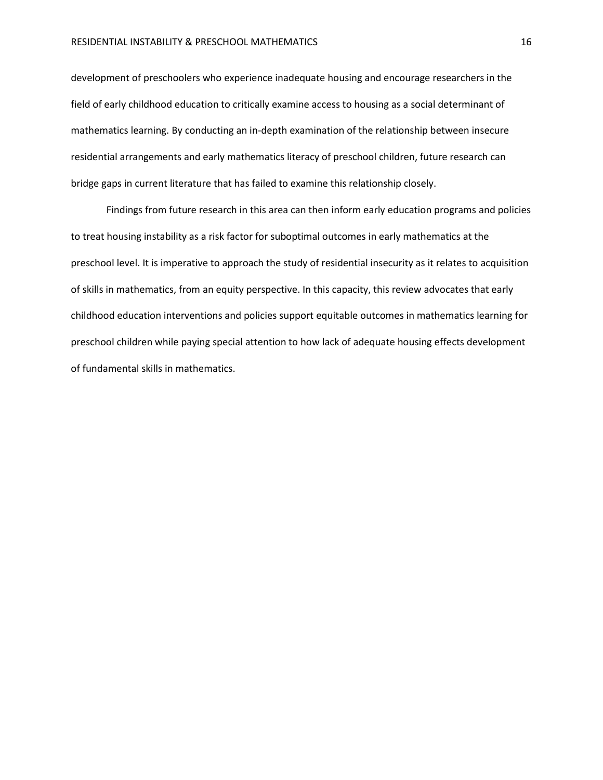development of preschoolers who experience inadequate housing and encourage researchers in the field of early childhood education to critically examine access to housing as a social determinant of mathematics learning. By conducting an in-depth examination of the relationship between insecure residential arrangements and early mathematics literacy of preschool children, future research can bridge gaps in current literature that has failed to examine this relationship closely.

Findings from future research in this area can then inform early education programs and policies to treat housing instability as a risk factor for suboptimal outcomes in early mathematics at the preschool level. It is imperative to approach the study of residential insecurity as it relates to acquisition of skills in mathematics, from an equity perspective. In this capacity, this review advocates that early childhood education interventions and policies support equitable outcomes in mathematics learning for preschool children while paying special attention to how lack of adequate housing effects development of fundamental skills in mathematics.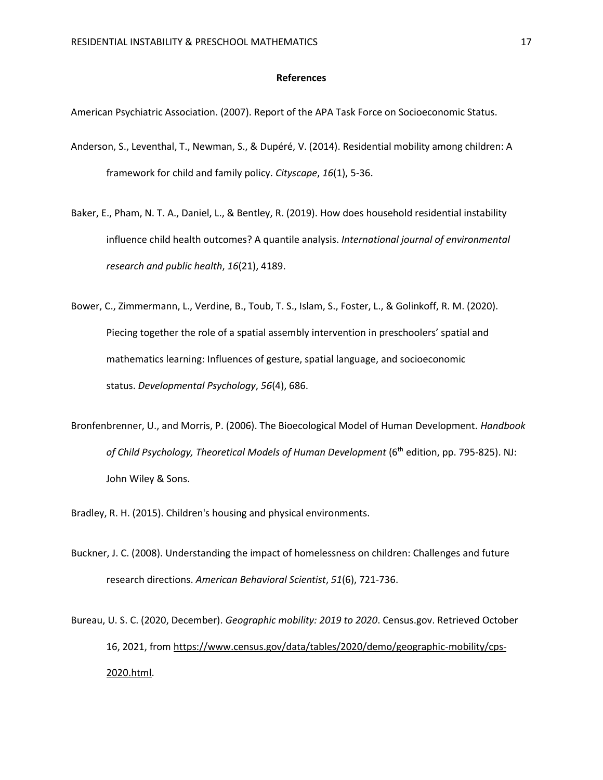#### **References**

American Psychiatric Association. (2007). Report of the APA Task Force on Socioeconomic Status.

- Anderson, S., Leventhal, T., Newman, S., & Dupéré, V. (2014). Residential mobility among children: A framework for child and family policy. *Cityscape*, *16*(1), 5-36.
- Baker, E., Pham, N. T. A., Daniel, L., & Bentley, R. (2019). How does household residential instability influence child health outcomes? A quantile analysis. *International journal of environmental research and public health*, *16*(21), 4189.
- Bower, C., Zimmermann, L., Verdine, B., Toub, T. S., Islam, S., Foster, L., & Golinkoff, R. M. (2020). Piecing together the role of a spatial assembly intervention in preschoolers' spatial and mathematics learning: Influences of gesture, spatial language, and socioeconomic status. *Developmental Psychology*, *56*(4), 686.
- Bronfenbrenner, U., and Morris, P. (2006). The Bioecological Model of Human Development. *Handbook*  of Child Psychology, Theoretical Models of Human Development (6<sup>th</sup> edition, pp. 795-825). NJ: John Wiley & Sons.
- Bradley, R. H. (2015). Children's housing and physical environments.
- Buckner, J. C. (2008). Understanding the impact of homelessness on children: Challenges and future research directions. *American Behavioral Scientist*, *51*(6), 721-736.
- Bureau, U. S. C. (2020, December). *Geographic mobility: 2019 to 2020*. Census.gov. Retrieved October 16, 2021, from [https://www.census.gov/data/tables/2020/demo/geographic-mobility/cps-](https://www.census.gov/data/tables/2020/demo/geographic-mobility/cps-2020.html)[2020.html.](https://www.census.gov/data/tables/2020/demo/geographic-mobility/cps-2020.html)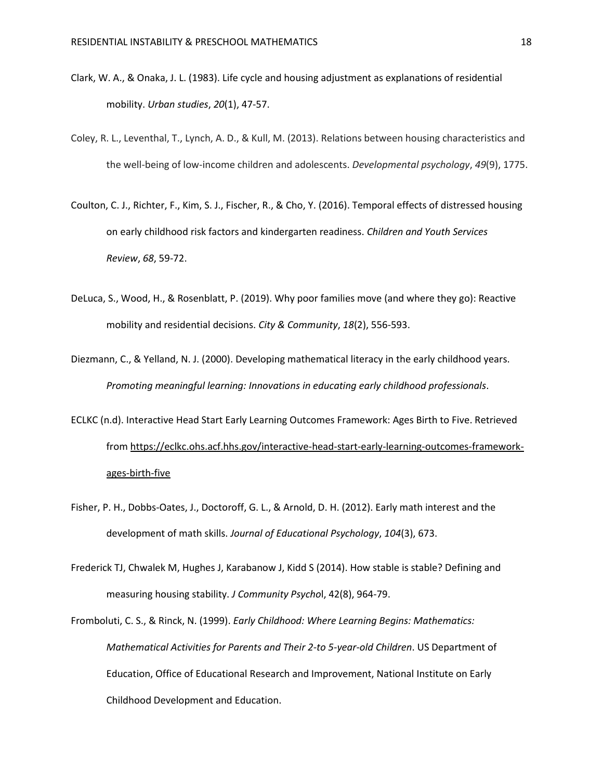- Clark, W. A., & Onaka, J. L. (1983). Life cycle and housing adjustment as explanations of residential mobility. *Urban studies*, *20*(1), 47-57.
- Coley, R. L., Leventhal, T., Lynch, A. D., & Kull, M. (2013). Relations between housing characteristics and the well-being of low-income children and adolescents. *Developmental psychology*, *49*(9), 1775.
- Coulton, C. J., Richter, F., Kim, S. J., Fischer, R., & Cho, Y. (2016). Temporal effects of distressed housing on early childhood risk factors and kindergarten readiness. *Children and Youth Services Review*, *68*, 59-72.
- DeLuca, S., Wood, H., & Rosenblatt, P. (2019). Why poor families move (and where they go): Reactive mobility and residential decisions. *City & Community*, *18*(2), 556-593.
- Diezmann, C., & Yelland, N. J. (2000). Developing mathematical literacy in the early childhood years. *Promoting meaningful learning: Innovations in educating early childhood professionals*.
- ECLKC (n.d). Interactive Head Start Early Learning Outcomes Framework: Ages Birth to Five. Retrieved from [https://eclkc.ohs.acf.hhs.gov/interactive-head-start-early-learning-outcomes-framework](https://eclkc.ohs.acf.hhs.gov/interactive-head-start-early-learning-outcomes-framework-ages-birth-five)[ages-birth-five](https://eclkc.ohs.acf.hhs.gov/interactive-head-start-early-learning-outcomes-framework-ages-birth-five)
- Fisher, P. H., Dobbs-Oates, J., Doctoroff, G. L., & Arnold, D. H. (2012). Early math interest and the development of math skills. *Journal of Educational Psychology*, *104*(3), 673.
- Frederick TJ, Chwalek M, Hughes J, Karabanow J, Kidd S (2014). How stable is stable? Defining and measuring housing stability. *J Community Psycho*l, 42(8), 964-79.
- Fromboluti, C. S., & Rinck, N. (1999). *Early Childhood: Where Learning Begins: Mathematics: Mathematical Activities for Parents and Their 2-to 5-year-old Children*. US Department of Education, Office of Educational Research and Improvement, National Institute on Early Childhood Development and Education.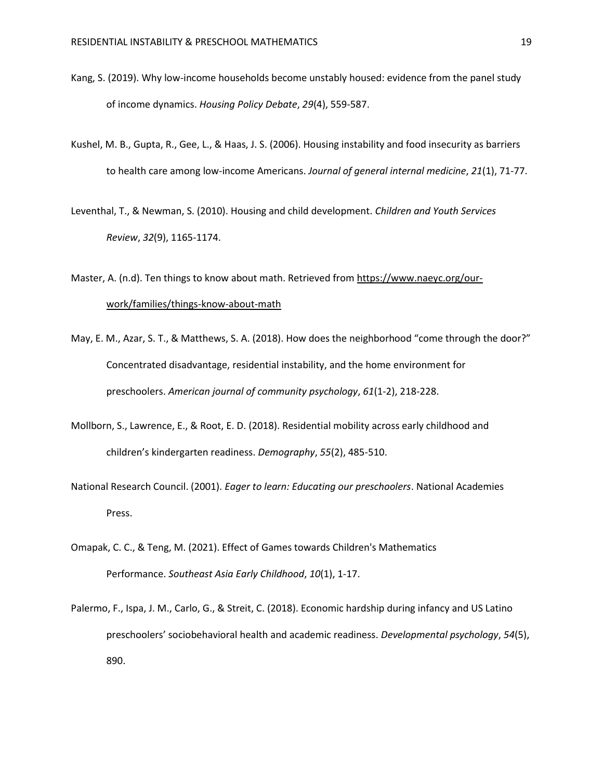- Kang, S. (2019). Why low-income households become unstably housed: evidence from the panel study of income dynamics. *Housing Policy Debate*, *29*(4), 559-587.
- Kushel, M. B., Gupta, R., Gee, L., & Haas, J. S. (2006). Housing instability and food insecurity as barriers to health care among low-income Americans. *Journal of general internal medicine*, *21*(1), 71-77.
- Leventhal, T., & Newman, S. (2010). Housing and child development. *Children and Youth Services Review*, *32*(9), 1165-1174.

Master, A. (n.d). Ten things to know about math. Retrieved fro[m https://www.naeyc.org/our](https://www.naeyc.org/our-work/families/things-know-about-math)[work/families/things-know-about-math](https://www.naeyc.org/our-work/families/things-know-about-math)

- May, E. M., Azar, S. T., & Matthews, S. A. (2018). How does the neighborhood "come through the door?" Concentrated disadvantage, residential instability, and the home environment for preschoolers. *American journal of community psychology*, *61*(1-2), 218-228.
- Mollborn, S., Lawrence, E., & Root, E. D. (2018). Residential mobility across early childhood and children's kindergarten readiness. *Demography*, *55*(2), 485-510.
- National Research Council. (2001). *Eager to learn: Educating our preschoolers*. National Academies Press.
- Omapak, C. C., & Teng, M. (2021). Effect of Games towards Children's Mathematics Performance. *Southeast Asia Early Childhood*, *10*(1), 1-17.

Palermo, F., Ispa, J. M., Carlo, G., & Streit, C. (2018). Economic hardship during infancy and US Latino preschoolers' sociobehavioral health and academic readiness. *Developmental psychology*, *54*(5), 890.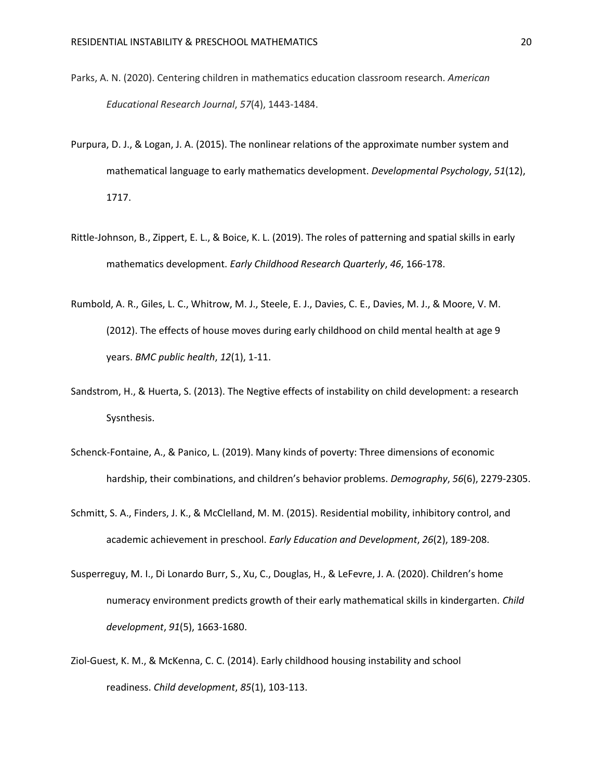- Parks, A. N. (2020). Centering children in mathematics education classroom research. *American Educational Research Journal*, *57*(4), 1443-1484.
- Purpura, D. J., & Logan, J. A. (2015). The nonlinear relations of the approximate number system and mathematical language to early mathematics development. *Developmental Psychology*, *51*(12), 1717.
- Rittle-Johnson, B., Zippert, E. L., & Boice, K. L. (2019). The roles of patterning and spatial skills in early mathematics development. *Early Childhood Research Quarterly*, *46*, 166-178.
- Rumbold, A. R., Giles, L. C., Whitrow, M. J., Steele, E. J., Davies, C. E., Davies, M. J., & Moore, V. M. (2012). The effects of house moves during early childhood on child mental health at age 9 years. *BMC public health*, *12*(1), 1-11.
- Sandstrom, H., & Huerta, S. (2013). The Negtive effects of instability on child development: a research Sysnthesis.
- Schenck-Fontaine, A., & Panico, L. (2019). Many kinds of poverty: Three dimensions of economic hardship, their combinations, and children's behavior problems. *Demography*, *56*(6), 2279-2305.
- Schmitt, S. A., Finders, J. K., & McClelland, M. M. (2015). Residential mobility, inhibitory control, and academic achievement in preschool. *Early Education and Development*, *26*(2), 189-208.
- Susperreguy, M. I., Di Lonardo Burr, S., Xu, C., Douglas, H., & LeFevre, J. A. (2020). Children's home numeracy environment predicts growth of their early mathematical skills in kindergarten. *Child development*, *91*(5), 1663-1680.
- Ziol‐Guest, K. M., & McKenna, C. C. (2014). Early childhood housing instability and school readiness. *Child development*, *85*(1), 103-113.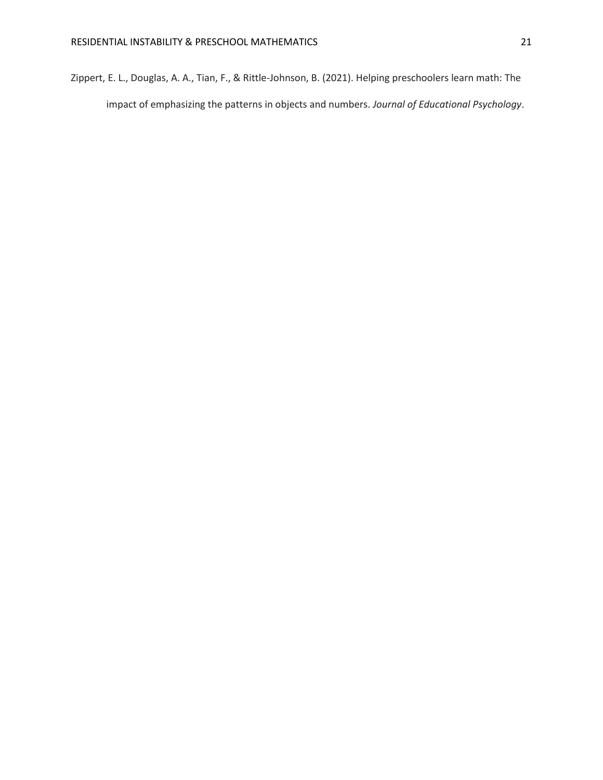Zippert, E. L., Douglas, A. A., Tian, F., & Rittle-Johnson, B. (2021). Helping preschoolers learn math: The impact of emphasizing the patterns in objects and numbers. *Journal of Educational Psychology*.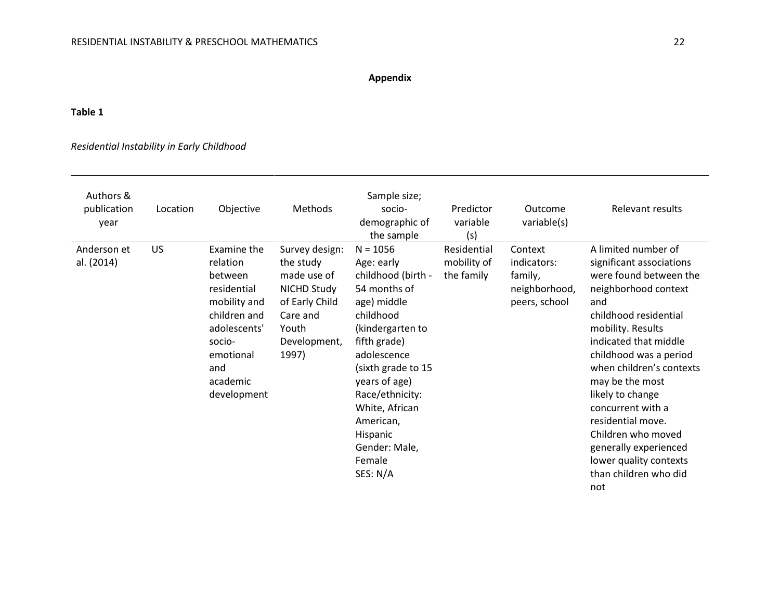## **Appendix**

### **Table 1**

## *Residential Instability in Early Childhood*

| Authors &<br>publication<br>year | Location | Objective                                                                                                                                                  | Methods                                                                                                                          | Sample size;<br>socio-<br>demographic of<br>the sample                                                                                                                                                                                                                                    | Predictor<br>variable<br>(s)             | Outcome<br>variable(s)                                              | Relevant results                                                                                                                                                                                                                                                                                                                                                                                                                |
|----------------------------------|----------|------------------------------------------------------------------------------------------------------------------------------------------------------------|----------------------------------------------------------------------------------------------------------------------------------|-------------------------------------------------------------------------------------------------------------------------------------------------------------------------------------------------------------------------------------------------------------------------------------------|------------------------------------------|---------------------------------------------------------------------|---------------------------------------------------------------------------------------------------------------------------------------------------------------------------------------------------------------------------------------------------------------------------------------------------------------------------------------------------------------------------------------------------------------------------------|
| Anderson et<br>al. (2014)        | US       | Examine the<br>relation<br>between<br>residential<br>mobility and<br>children and<br>adolescents'<br>socio-<br>emotional<br>and<br>academic<br>development | Survey design:<br>the study<br>made use of<br><b>NICHD Study</b><br>of Early Child<br>Care and<br>Youth<br>Development,<br>1997) | $N = 1056$<br>Age: early<br>childhood (birth -<br>54 months of<br>age) middle<br>childhood<br>(kindergarten to<br>fifth grade)<br>adolescence<br>(sixth grade to 15<br>years of age)<br>Race/ethnicity:<br>White, African<br>American,<br>Hispanic<br>Gender: Male,<br>Female<br>SES: N/A | Residential<br>mobility of<br>the family | Context<br>indicators:<br>family,<br>neighborhood,<br>peers, school | A limited number of<br>significant associations<br>were found between the<br>neighborhood context<br>and<br>childhood residential<br>mobility. Results<br>indicated that middle<br>childhood was a period<br>when children's contexts<br>may be the most<br>likely to change<br>concurrent with a<br>residential move.<br>Children who moved<br>generally experienced<br>lower quality contexts<br>than children who did<br>not |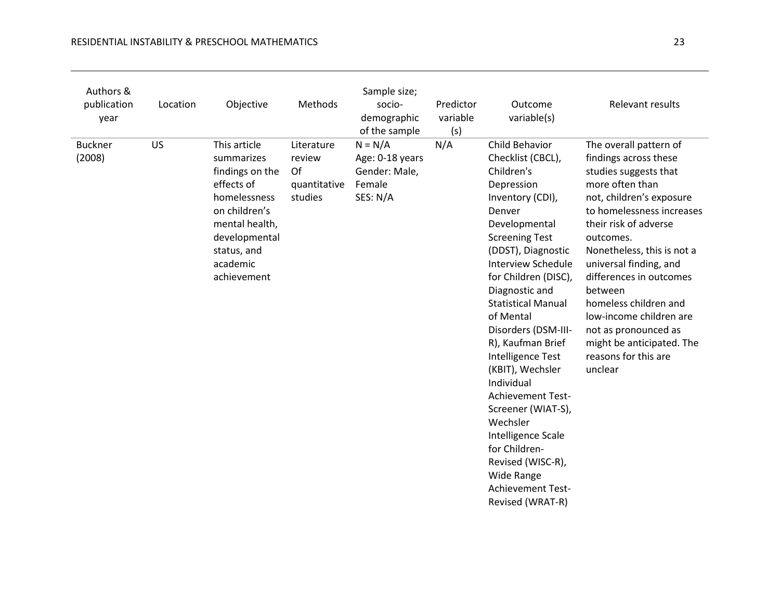| Authors &<br>publication<br>year | Location | Objective                                                                                                                                                                 | Methods                                               | Sample size;<br>socio-<br>demographic<br>of the sample              | Predictor<br>variable<br>(s) | Outcome<br>variable(s)                                                                                                                                                                                                                                                                                                                                                                                                                                                                                                                                                    | Relevant results                                                                                                                                                                                                                                                                                                                                                                                                                     |
|----------------------------------|----------|---------------------------------------------------------------------------------------------------------------------------------------------------------------------------|-------------------------------------------------------|---------------------------------------------------------------------|------------------------------|---------------------------------------------------------------------------------------------------------------------------------------------------------------------------------------------------------------------------------------------------------------------------------------------------------------------------------------------------------------------------------------------------------------------------------------------------------------------------------------------------------------------------------------------------------------------------|--------------------------------------------------------------------------------------------------------------------------------------------------------------------------------------------------------------------------------------------------------------------------------------------------------------------------------------------------------------------------------------------------------------------------------------|
| <b>Buckner</b><br>(2008)         | US       | This article<br>summarizes<br>findings on the<br>effects of<br>homelessness<br>on children's<br>mental health,<br>developmental<br>status, and<br>academic<br>achievement | Literature<br>review<br>Of<br>quantitative<br>studies | $N = N/A$<br>Age: 0-18 years<br>Gender: Male,<br>Female<br>SES: N/A | N/A                          | Child Behavior<br>Checklist (CBCL),<br>Children's<br>Depression<br>Inventory (CDI),<br>Denver<br>Developmental<br><b>Screening Test</b><br>(DDST), Diagnostic<br><b>Interview Schedule</b><br>for Children (DISC),<br>Diagnostic and<br><b>Statistical Manual</b><br>of Mental<br>Disorders (DSM-III-<br>R), Kaufman Brief<br>Intelligence Test<br>(KBIT), Wechsler<br>Individual<br><b>Achievement Test-</b><br>Screener (WIAT-S),<br>Wechsler<br>Intelligence Scale<br>for Children-<br>Revised (WISC-R),<br><b>Wide Range</b><br>Achievement Test-<br>Revised (WRAT-R) | The overall pattern of<br>findings across these<br>studies suggests that<br>more often than<br>not, children's exposure<br>to homelessness increases<br>their risk of adverse<br>outcomes.<br>Nonetheless, this is not a<br>universal finding, and<br>differences in outcomes<br>between<br>homeless children and<br>low-income children are<br>not as pronounced as<br>might be anticipated. The<br>reasons for this are<br>unclear |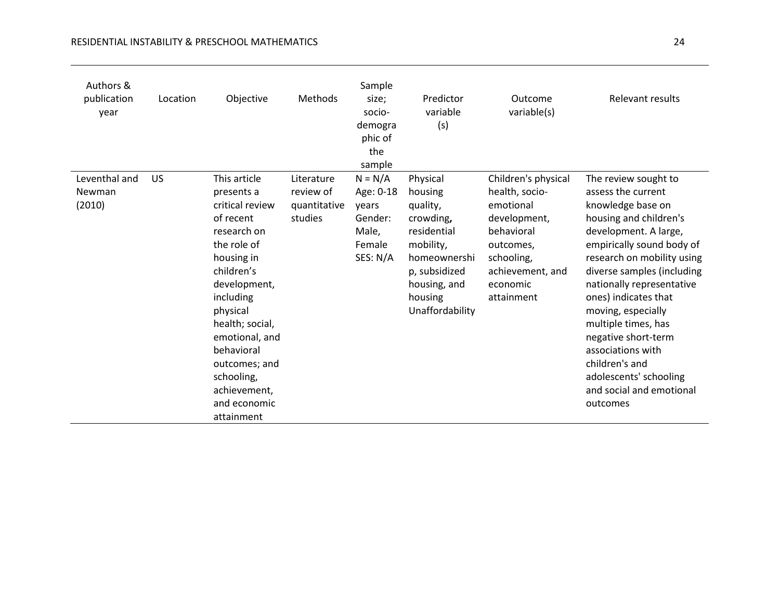| Authors &<br>publication<br>year  | Location  | Objective                                                                                                                                                                                                                                                                                     | Methods                                            | Sample<br>size;<br>socio-<br>demogra<br>phic of<br>the<br>sample          | Predictor<br>variable<br>(s)                                                                                                                            | Outcome<br>variable(s)                                                                                                                                    | Relevant results                                                                                                                                                                                                                                                                                                                                                                                                                              |
|-----------------------------------|-----------|-----------------------------------------------------------------------------------------------------------------------------------------------------------------------------------------------------------------------------------------------------------------------------------------------|----------------------------------------------------|---------------------------------------------------------------------------|---------------------------------------------------------------------------------------------------------------------------------------------------------|-----------------------------------------------------------------------------------------------------------------------------------------------------------|-----------------------------------------------------------------------------------------------------------------------------------------------------------------------------------------------------------------------------------------------------------------------------------------------------------------------------------------------------------------------------------------------------------------------------------------------|
| Leventhal and<br>Newman<br>(2010) | <b>US</b> | This article<br>presents a<br>critical review<br>of recent<br>research on<br>the role of<br>housing in<br>children's<br>development,<br>including<br>physical<br>health; social,<br>emotional, and<br>behavioral<br>outcomes; and<br>schooling,<br>achievement,<br>and economic<br>attainment | Literature<br>review of<br>quantitative<br>studies | $N = N/A$<br>Age: 0-18<br>years<br>Gender:<br>Male,<br>Female<br>SES: N/A | Physical<br>housing<br>quality,<br>crowding,<br>residential<br>mobility,<br>homeownershi<br>p, subsidized<br>housing, and<br>housing<br>Unaffordability | Children's physical<br>health, socio-<br>emotional<br>development,<br>behavioral<br>outcomes,<br>schooling,<br>achievement, and<br>economic<br>attainment | The review sought to<br>assess the current<br>knowledge base on<br>housing and children's<br>development. A large,<br>empirically sound body of<br>research on mobility using<br>diverse samples (including<br>nationally representative<br>ones) indicates that<br>moving, especially<br>multiple times, has<br>negative short-term<br>associations with<br>children's and<br>adolescents' schooling<br>and social and emotional<br>outcomes |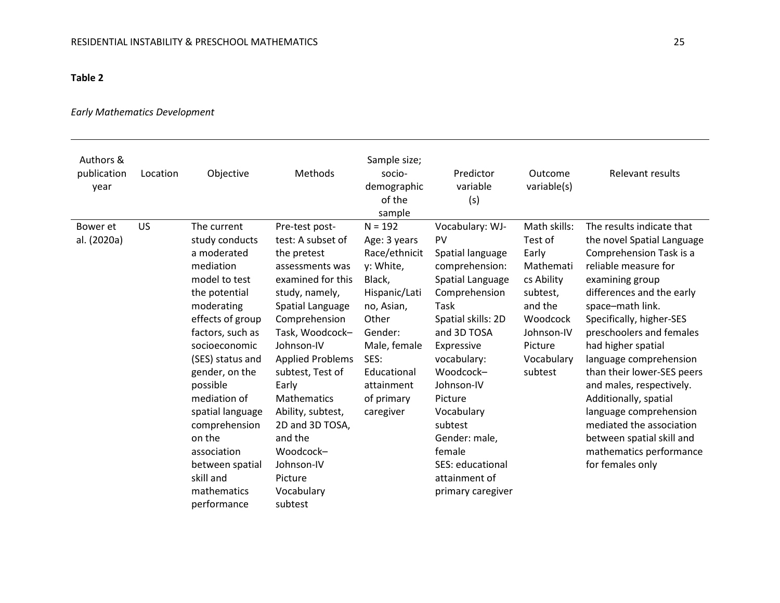## **Table 2**

## *Early Mathematics Development*

| Authors &<br>publication<br>year | Location | Objective                                                                                                                                                                                                                                                                                                                                                        | Methods                                                                                                                                                                                                                                                                                                                                                                            | Sample size;<br>socio-<br>demographic<br>of the<br>sample                                                                                                                                            | Predictor<br>variable<br>(s)                                                                                                                                                                                                                                                                                                   | Outcome<br>variable(s)                                                                                                                           | Relevant results                                                                                                                                                                                                                                                                                                                                                                                                                                                                                            |
|----------------------------------|----------|------------------------------------------------------------------------------------------------------------------------------------------------------------------------------------------------------------------------------------------------------------------------------------------------------------------------------------------------------------------|------------------------------------------------------------------------------------------------------------------------------------------------------------------------------------------------------------------------------------------------------------------------------------------------------------------------------------------------------------------------------------|------------------------------------------------------------------------------------------------------------------------------------------------------------------------------------------------------|--------------------------------------------------------------------------------------------------------------------------------------------------------------------------------------------------------------------------------------------------------------------------------------------------------------------------------|--------------------------------------------------------------------------------------------------------------------------------------------------|-------------------------------------------------------------------------------------------------------------------------------------------------------------------------------------------------------------------------------------------------------------------------------------------------------------------------------------------------------------------------------------------------------------------------------------------------------------------------------------------------------------|
| Bower et<br>al. (2020a)          | US       | The current<br>study conducts<br>a moderated<br>mediation<br>model to test<br>the potential<br>moderating<br>effects of group<br>factors, such as<br>socioeconomic<br>(SES) status and<br>gender, on the<br>possible<br>mediation of<br>spatial language<br>comprehension<br>on the<br>association<br>between spatial<br>skill and<br>mathematics<br>performance | Pre-test post-<br>test: A subset of<br>the pretest<br>assessments was<br>examined for this<br>study, namely,<br>Spatial Language<br>Comprehension<br>Task, Woodcock-<br>Johnson-IV<br><b>Applied Problems</b><br>subtest, Test of<br>Early<br><b>Mathematics</b><br>Ability, subtest,<br>2D and 3D TOSA,<br>and the<br>Woodcock-<br>Johnson-IV<br>Picture<br>Vocabulary<br>subtest | $N = 192$<br>Age: 3 years<br>Race/ethnicit<br>y: White,<br>Black,<br>Hispanic/Lati<br>no, Asian,<br>Other<br>Gender:<br>Male, female<br>SES:<br>Educational<br>attainment<br>of primary<br>caregiver | Vocabulary: WJ-<br>PV<br>Spatial language<br>comprehension:<br>Spatial Language<br>Comprehension<br>Task<br>Spatial skills: 2D<br>and 3D TOSA<br>Expressive<br>vocabulary:<br>Woodcock-<br>Johnson-IV<br>Picture<br>Vocabulary<br>subtest<br>Gender: male,<br>female<br>SES: educational<br>attainment of<br>primary caregiver | Math skills:<br>Test of<br>Early<br>Mathemati<br>cs Ability<br>subtest,<br>and the<br>Woodcock<br>Johnson-IV<br>Picture<br>Vocabulary<br>subtest | The results indicate that<br>the novel Spatial Language<br>Comprehension Task is a<br>reliable measure for<br>examining group<br>differences and the early<br>space-math link.<br>Specifically, higher-SES<br>preschoolers and females<br>had higher spatial<br>language comprehension<br>than their lower-SES peers<br>and males, respectively.<br>Additionally, spatial<br>language comprehension<br>mediated the association<br>between spatial skill and<br>mathematics performance<br>for females only |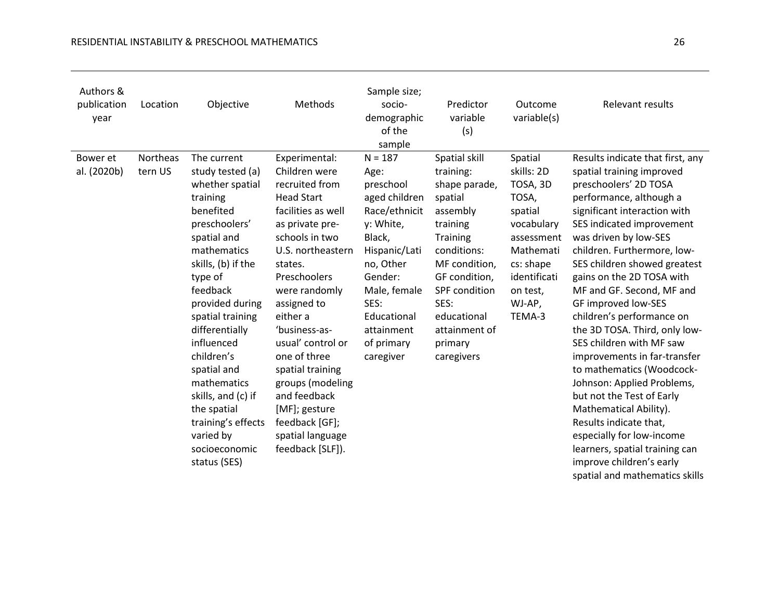| Authors &<br>publication<br>year | Location            | Objective                                                                                                                                                                                                                                                                                                                                                                                           | Methods                                                                                                                                                                                                                                                                                                                                                                                                               | Sample size;<br>socio-<br>demographic<br>of the<br>sample                                                                                                                                                        | Predictor<br>variable<br>(s)                                                                                                                                                                                                  | Outcome<br>variable(s)                                                                                                                                      | Relevant results                                                                                                                                                                                                                                                                                                                                                                                                                                                                                                                                                                                                                                                                                                                                           |
|----------------------------------|---------------------|-----------------------------------------------------------------------------------------------------------------------------------------------------------------------------------------------------------------------------------------------------------------------------------------------------------------------------------------------------------------------------------------------------|-----------------------------------------------------------------------------------------------------------------------------------------------------------------------------------------------------------------------------------------------------------------------------------------------------------------------------------------------------------------------------------------------------------------------|------------------------------------------------------------------------------------------------------------------------------------------------------------------------------------------------------------------|-------------------------------------------------------------------------------------------------------------------------------------------------------------------------------------------------------------------------------|-------------------------------------------------------------------------------------------------------------------------------------------------------------|------------------------------------------------------------------------------------------------------------------------------------------------------------------------------------------------------------------------------------------------------------------------------------------------------------------------------------------------------------------------------------------------------------------------------------------------------------------------------------------------------------------------------------------------------------------------------------------------------------------------------------------------------------------------------------------------------------------------------------------------------------|
| Bower et<br>al. (2020b)          | Northeas<br>tern US | The current<br>study tested (a)<br>whether spatial<br>training<br>benefited<br>preschoolers'<br>spatial and<br>mathematics<br>skills, (b) if the<br>type of<br>feedback<br>provided during<br>spatial training<br>differentially<br>influenced<br>children's<br>spatial and<br>mathematics<br>skills, and (c) if<br>the spatial<br>training's effects<br>varied by<br>socioeconomic<br>status (SES) | Experimental:<br>Children were<br>recruited from<br><b>Head Start</b><br>facilities as well<br>as private pre-<br>schools in two<br>U.S. northeastern<br>states.<br>Preschoolers<br>were randomly<br>assigned to<br>either a<br>'business-as-<br>usual' control or<br>one of three<br>spatial training<br>groups (modeling<br>and feedback<br>[MF]; gesture<br>feedback [GF];<br>spatial language<br>feedback [SLF]). | $N = 187$<br>Age:<br>preschool<br>aged children<br>Race/ethnicit<br>y: White,<br>Black,<br>Hispanic/Lati<br>no, Other<br>Gender:<br>Male, female<br>SES:<br>Educational<br>attainment<br>of primary<br>caregiver | Spatial skill<br>training:<br>shape parade,<br>spatial<br>assembly<br>training<br>Training<br>conditions:<br>MF condition,<br>GF condition,<br>SPF condition<br>SES:<br>educational<br>attainment of<br>primary<br>caregivers | Spatial<br>skills: 2D<br>TOSA, 3D<br>TOSA,<br>spatial<br>vocabulary<br>assessment<br>Mathemati<br>cs: shape<br>identificati<br>on test,<br>WJ-AP,<br>TEMA-3 | Results indicate that first, any<br>spatial training improved<br>preschoolers' 2D TOSA<br>performance, although a<br>significant interaction with<br>SES indicated improvement<br>was driven by low-SES<br>children. Furthermore, low-<br>SES children showed greatest<br>gains on the 2D TOSA with<br>MF and GF. Second, MF and<br>GF improved low-SES<br>children's performance on<br>the 3D TOSA. Third, only low-<br>SES children with MF saw<br>improvements in far-transfer<br>to mathematics (Woodcock-<br>Johnson: Applied Problems,<br>but not the Test of Early<br>Mathematical Ability).<br>Results indicate that,<br>especially for low-income<br>learners, spatial training can<br>improve children's early<br>spatial and mathematics skills |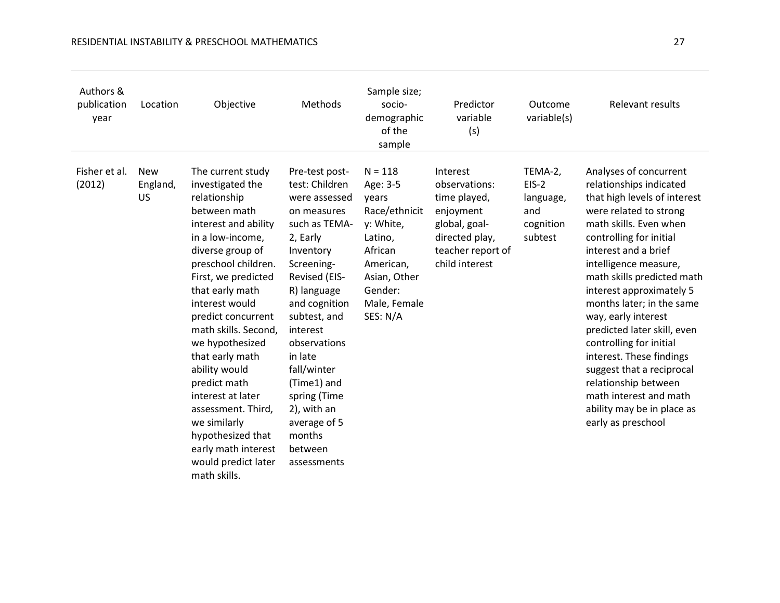| Authors &<br>publication<br>year | Location                            | Objective                                                                                                                                                                                                                                                                                                                                                                                                                                                                                   | Methods                                                                                                                                                                                                                                                                                                                                           | Sample size;<br>socio-<br>demographic<br>of the<br>sample                                                                                              | Predictor<br>variable<br>(s)                                                                                                     | Outcome<br>variable(s)                                         | Relevant results                                                                                                                                                                                                                                                                                                                                                                                                                                                                                                                                         |
|----------------------------------|-------------------------------------|---------------------------------------------------------------------------------------------------------------------------------------------------------------------------------------------------------------------------------------------------------------------------------------------------------------------------------------------------------------------------------------------------------------------------------------------------------------------------------------------|---------------------------------------------------------------------------------------------------------------------------------------------------------------------------------------------------------------------------------------------------------------------------------------------------------------------------------------------------|--------------------------------------------------------------------------------------------------------------------------------------------------------|----------------------------------------------------------------------------------------------------------------------------------|----------------------------------------------------------------|----------------------------------------------------------------------------------------------------------------------------------------------------------------------------------------------------------------------------------------------------------------------------------------------------------------------------------------------------------------------------------------------------------------------------------------------------------------------------------------------------------------------------------------------------------|
| Fisher et al.<br>(2012)          | <b>New</b><br>England,<br><b>US</b> | The current study<br>investigated the<br>relationship<br>between math<br>interest and ability<br>in a low-income,<br>diverse group of<br>preschool children.<br>First, we predicted<br>that early math<br>interest would<br>predict concurrent<br>math skills. Second,<br>we hypothesized<br>that early math<br>ability would<br>predict math<br>interest at later<br>assessment. Third,<br>we similarly<br>hypothesized that<br>early math interest<br>would predict later<br>math skills. | Pre-test post-<br>test: Children<br>were assessed<br>on measures<br>such as TEMA-<br>2, Early<br>Inventory<br>Screening-<br>Revised (EIS-<br>R) language<br>and cognition<br>subtest, and<br>interest<br>observations<br>in late<br>fall/winter<br>(Time1) and<br>spring (Time<br>2), with an<br>average of 5<br>months<br>between<br>assessments | $N = 118$<br>Age: 3-5<br>years<br>Race/ethnicit<br>y: White,<br>Latino,<br>African<br>American,<br>Asian, Other<br>Gender:<br>Male, Female<br>SES: N/A | Interest<br>observations:<br>time played,<br>enjoyment<br>global, goal-<br>directed play,<br>teacher report of<br>child interest | TEMA-2,<br>$EIS-2$<br>language,<br>and<br>cognition<br>subtest | Analyses of concurrent<br>relationships indicated<br>that high levels of interest<br>were related to strong<br>math skills. Even when<br>controlling for initial<br>interest and a brief<br>intelligence measure,<br>math skills predicted math<br>interest approximately 5<br>months later; in the same<br>way, early interest<br>predicted later skill, even<br>controlling for initial<br>interest. These findings<br>suggest that a reciprocal<br>relationship between<br>math interest and math<br>ability may be in place as<br>early as preschool |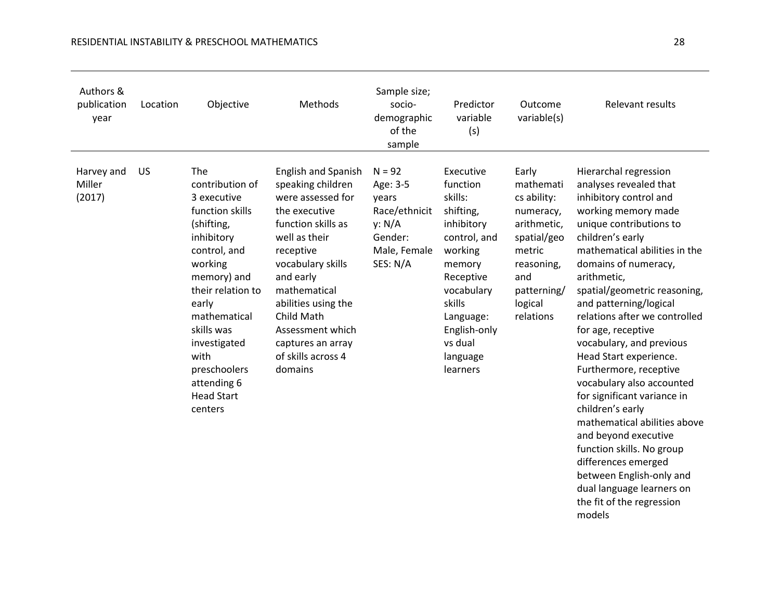| Authors &<br>publication<br>year | Location  | Objective                                                                                                                                                                                                                                                                         | Methods                                                                                                                                                                                                                                                                                             | Sample size;<br>socio-<br>demographic<br>of the<br>sample                                       | Predictor<br>variable<br>(s)                                                                                                                                                                          | Outcome<br>variable(s)                                                                                                                             | Relevant results                                                                                                                                                                                                                                                                                                                                                                                                                                                                                                                                                                                                                                                                                           |
|----------------------------------|-----------|-----------------------------------------------------------------------------------------------------------------------------------------------------------------------------------------------------------------------------------------------------------------------------------|-----------------------------------------------------------------------------------------------------------------------------------------------------------------------------------------------------------------------------------------------------------------------------------------------------|-------------------------------------------------------------------------------------------------|-------------------------------------------------------------------------------------------------------------------------------------------------------------------------------------------------------|----------------------------------------------------------------------------------------------------------------------------------------------------|------------------------------------------------------------------------------------------------------------------------------------------------------------------------------------------------------------------------------------------------------------------------------------------------------------------------------------------------------------------------------------------------------------------------------------------------------------------------------------------------------------------------------------------------------------------------------------------------------------------------------------------------------------------------------------------------------------|
| Harvey and<br>Miller<br>(2017)   | <b>US</b> | The<br>contribution of<br>3 executive<br>function skills<br>(shifting,<br>inhibitory<br>control, and<br>working<br>memory) and<br>their relation to<br>early<br>mathematical<br>skills was<br>investigated<br>with<br>preschoolers<br>attending 6<br><b>Head Start</b><br>centers | English and Spanish<br>speaking children<br>were assessed for<br>the executive<br>function skills as<br>well as their<br>receptive<br>vocabulary skills<br>and early<br>mathematical<br>abilities using the<br>Child Math<br>Assessment which<br>captures an array<br>of skills across 4<br>domains | $N = 92$<br>Age: 3-5<br>years<br>Race/ethnicit<br>y: N/A<br>Gender:<br>Male, Female<br>SES: N/A | Executive<br>function<br>skills:<br>shifting,<br>inhibitory<br>control, and<br>working<br>memory<br>Receptive<br>vocabulary<br>skills<br>Language:<br>English-only<br>vs dual<br>language<br>learners | Early<br>mathemati<br>cs ability:<br>numeracy,<br>arithmetic,<br>spatial/geo<br>metric<br>reasoning,<br>and<br>patterning/<br>logical<br>relations | Hierarchal regression<br>analyses revealed that<br>inhibitory control and<br>working memory made<br>unique contributions to<br>children's early<br>mathematical abilities in the<br>domains of numeracy,<br>arithmetic,<br>spatial/geometric reasoning,<br>and patterning/logical<br>relations after we controlled<br>for age, receptive<br>vocabulary, and previous<br>Head Start experience.<br>Furthermore, receptive<br>vocabulary also accounted<br>for significant variance in<br>children's early<br>mathematical abilities above<br>and beyond executive<br>function skills. No group<br>differences emerged<br>between English-only and<br>dual language learners on<br>the fit of the regression |

models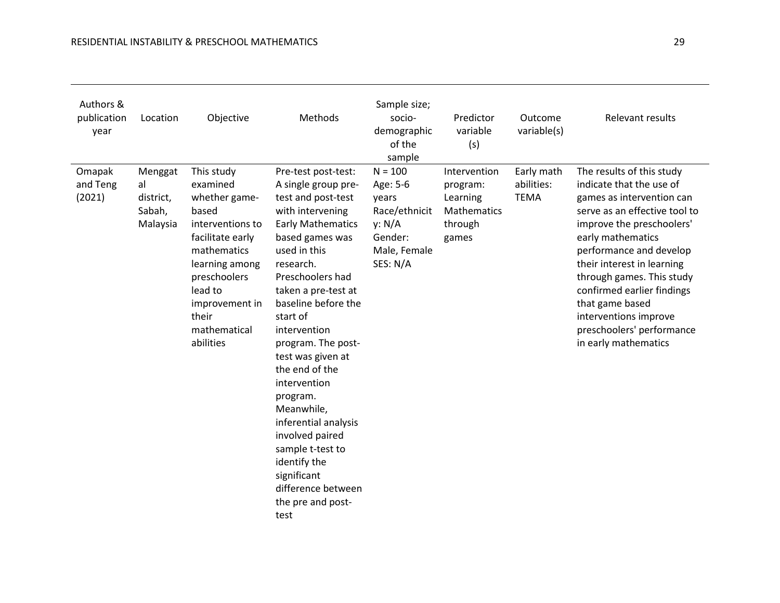| Authors &<br>publication<br>year | Location                                         | Objective                                                                                                                                                                                                    | <b>Methods</b>                                                                                                                                                                                                                                                                                                                                                                                                                                                                                                         | Sample size;<br>socio-<br>demographic<br>of the<br>sample                                        | Predictor<br>variable<br>(s)                                            | Outcome<br>variable(s)                  | Relevant results                                                                                                                                                                                                                                                                                                                                                                           |
|----------------------------------|--------------------------------------------------|--------------------------------------------------------------------------------------------------------------------------------------------------------------------------------------------------------------|------------------------------------------------------------------------------------------------------------------------------------------------------------------------------------------------------------------------------------------------------------------------------------------------------------------------------------------------------------------------------------------------------------------------------------------------------------------------------------------------------------------------|--------------------------------------------------------------------------------------------------|-------------------------------------------------------------------------|-----------------------------------------|--------------------------------------------------------------------------------------------------------------------------------------------------------------------------------------------------------------------------------------------------------------------------------------------------------------------------------------------------------------------------------------------|
| Omapak<br>and Teng<br>(2021)     | Menggat<br>al<br>district,<br>Sabah,<br>Malaysia | This study<br>examined<br>whether game-<br>based<br>interventions to<br>facilitate early<br>mathematics<br>learning among<br>preschoolers<br>lead to<br>improvement in<br>their<br>mathematical<br>abilities | Pre-test post-test:<br>A single group pre-<br>test and post-test<br>with intervening<br><b>Early Mathematics</b><br>based games was<br>used in this<br>research.<br>Preschoolers had<br>taken a pre-test at<br>baseline before the<br>start of<br>intervention<br>program. The post-<br>test was given at<br>the end of the<br>intervention<br>program.<br>Meanwhile,<br>inferential analysis<br>involved paired<br>sample t-test to<br>identify the<br>significant<br>difference between<br>the pre and post-<br>test | $N = 100$<br>Age: 5-6<br>years<br>Race/ethnicit<br>y: N/A<br>Gender:<br>Male, Female<br>SES: N/A | Intervention<br>program:<br>Learning<br>Mathematics<br>through<br>games | Early math<br>abilities:<br><b>TEMA</b> | The results of this study<br>indicate that the use of<br>games as intervention can<br>serve as an effective tool to<br>improve the preschoolers'<br>early mathematics<br>performance and develop<br>their interest in learning<br>through games. This study<br>confirmed earlier findings<br>that game based<br>interventions improve<br>preschoolers' performance<br>in early mathematics |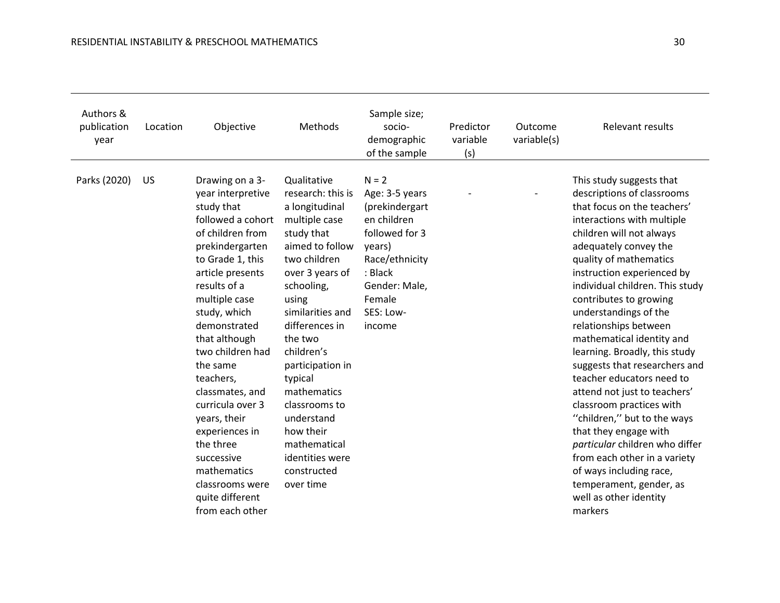| Authors &<br>publication<br>year | Location | Objective                                                                                                                                                                                                                                                                                                                                                                                                                                                         | Methods                                                                                                                                                                                                                                                                                                                                                                                | Sample size;<br>socio-<br>demographic<br>of the sample                                                                                                                | Predictor<br>variable<br>(s) | Outcome<br>variable(s) | Relevant results                                                                                                                                                                                                                                                                                                                                                                                                                                                                                                                                                                                                                                                                                                                                             |
|----------------------------------|----------|-------------------------------------------------------------------------------------------------------------------------------------------------------------------------------------------------------------------------------------------------------------------------------------------------------------------------------------------------------------------------------------------------------------------------------------------------------------------|----------------------------------------------------------------------------------------------------------------------------------------------------------------------------------------------------------------------------------------------------------------------------------------------------------------------------------------------------------------------------------------|-----------------------------------------------------------------------------------------------------------------------------------------------------------------------|------------------------------|------------------------|--------------------------------------------------------------------------------------------------------------------------------------------------------------------------------------------------------------------------------------------------------------------------------------------------------------------------------------------------------------------------------------------------------------------------------------------------------------------------------------------------------------------------------------------------------------------------------------------------------------------------------------------------------------------------------------------------------------------------------------------------------------|
| Parks (2020)                     | US       | Drawing on a 3-<br>year interpretive<br>study that<br>followed a cohort<br>of children from<br>prekindergarten<br>to Grade 1, this<br>article presents<br>results of a<br>multiple case<br>study, which<br>demonstrated<br>that although<br>two children had<br>the same<br>teachers,<br>classmates, and<br>curricula over 3<br>years, their<br>experiences in<br>the three<br>successive<br>mathematics<br>classrooms were<br>quite different<br>from each other | Qualitative<br>research: this is<br>a longitudinal<br>multiple case<br>study that<br>aimed to follow<br>two children<br>over 3 years of<br>schooling,<br>using<br>similarities and<br>differences in<br>the two<br>children's<br>participation in<br>typical<br>mathematics<br>classrooms to<br>understand<br>how their<br>mathematical<br>identities were<br>constructed<br>over time | $N = 2$<br>Age: 3-5 years<br>(prekindergart<br>en children<br>followed for 3<br>years)<br>Race/ethnicity<br>: Black<br>Gender: Male,<br>Female<br>SES: Low-<br>income |                              |                        | This study suggests that<br>descriptions of classrooms<br>that focus on the teachers'<br>interactions with multiple<br>children will not always<br>adequately convey the<br>quality of mathematics<br>instruction experienced by<br>individual children. This study<br>contributes to growing<br>understandings of the<br>relationships between<br>mathematical identity and<br>learning. Broadly, this study<br>suggests that researchers and<br>teacher educators need to<br>attend not just to teachers'<br>classroom practices with<br>"children," but to the ways<br>that they engage with<br>particular children who differ<br>from each other in a variety<br>of ways including race,<br>temperament, gender, as<br>well as other identity<br>markers |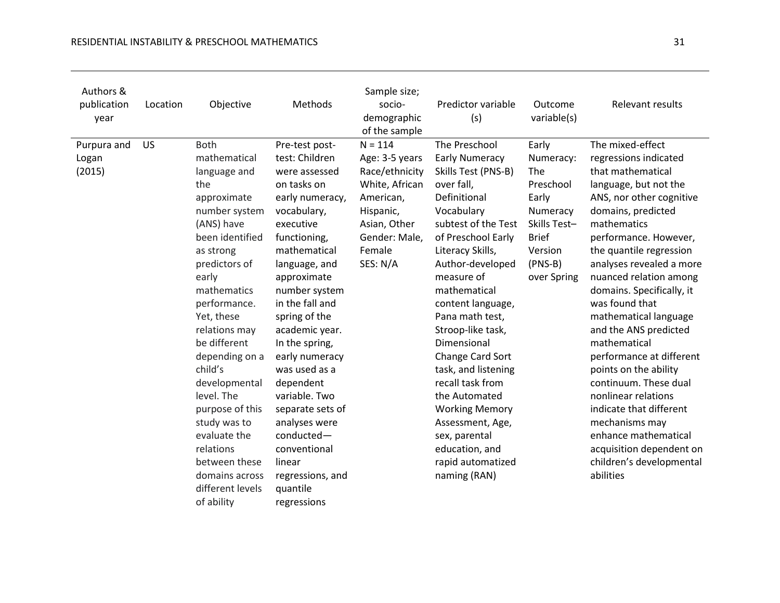| Authors &<br>publication<br>year | Location | Objective                                                                                                                                                                                                                                                                                                                                                                                                                                 | Methods                                                                                                                                                                                                                                                                                                                                                                                                                                                               | Sample size;<br>socio-<br>demographic<br>of the sample                                                                                           | Predictor variable<br>(s)                                                                                                                                                                                                                                                                                                                                                                                                                                                                                     | Outcome<br>variable(s)                                                                                                             | Relevant results                                                                                                                                                                                                                                                                                                                                                                                                                                                                                                                                                                                                                   |
|----------------------------------|----------|-------------------------------------------------------------------------------------------------------------------------------------------------------------------------------------------------------------------------------------------------------------------------------------------------------------------------------------------------------------------------------------------------------------------------------------------|-----------------------------------------------------------------------------------------------------------------------------------------------------------------------------------------------------------------------------------------------------------------------------------------------------------------------------------------------------------------------------------------------------------------------------------------------------------------------|--------------------------------------------------------------------------------------------------------------------------------------------------|---------------------------------------------------------------------------------------------------------------------------------------------------------------------------------------------------------------------------------------------------------------------------------------------------------------------------------------------------------------------------------------------------------------------------------------------------------------------------------------------------------------|------------------------------------------------------------------------------------------------------------------------------------|------------------------------------------------------------------------------------------------------------------------------------------------------------------------------------------------------------------------------------------------------------------------------------------------------------------------------------------------------------------------------------------------------------------------------------------------------------------------------------------------------------------------------------------------------------------------------------------------------------------------------------|
| Purpura and<br>Logan<br>(2015)   | US       | <b>Both</b><br>mathematical<br>language and<br>the<br>approximate<br>number system<br>(ANS) have<br>been identified<br>as strong<br>predictors of<br>early<br>mathematics<br>performance.<br>Yet, these<br>relations may<br>be different<br>depending on a<br>child's<br>developmental<br>level. The<br>purpose of this<br>study was to<br>evaluate the<br>relations<br>between these<br>domains across<br>different levels<br>of ability | Pre-test post-<br>test: Children<br>were assessed<br>on tasks on<br>early numeracy,<br>vocabulary,<br>executive<br>functioning,<br>mathematical<br>language, and<br>approximate<br>number system<br>in the fall and<br>spring of the<br>academic year.<br>In the spring,<br>early numeracy<br>was used as a<br>dependent<br>variable. Two<br>separate sets of<br>analyses were<br>conducted-<br>conventional<br>linear<br>regressions, and<br>quantile<br>regressions | $N = 114$<br>Age: 3-5 years<br>Race/ethnicity<br>White, African<br>American,<br>Hispanic,<br>Asian, Other<br>Gender: Male,<br>Female<br>SES: N/A | The Preschool<br><b>Early Numeracy</b><br>Skills Test (PNS-B)<br>over fall,<br>Definitional<br>Vocabulary<br>subtest of the Test<br>of Preschool Early<br>Literacy Skills,<br>Author-developed<br>measure of<br>mathematical<br>content language,<br>Pana math test,<br>Stroop-like task,<br>Dimensional<br>Change Card Sort<br>task, and listening<br>recall task from<br>the Automated<br><b>Working Memory</b><br>Assessment, Age,<br>sex, parental<br>education, and<br>rapid automatized<br>naming (RAN) | Early<br>Numeracy:<br>The<br>Preschool<br>Early<br>Numeracy<br>Skills Test-<br><b>Brief</b><br>Version<br>$(PNS-B)$<br>over Spring | The mixed-effect<br>regressions indicated<br>that mathematical<br>language, but not the<br>ANS, nor other cognitive<br>domains, predicted<br>mathematics<br>performance. However,<br>the quantile regression<br>analyses revealed a more<br>nuanced relation among<br>domains. Specifically, it<br>was found that<br>mathematical language<br>and the ANS predicted<br>mathematical<br>performance at different<br>points on the ability<br>continuum. These dual<br>nonlinear relations<br>indicate that different<br>mechanisms may<br>enhance mathematical<br>acquisition dependent on<br>children's developmental<br>abilities |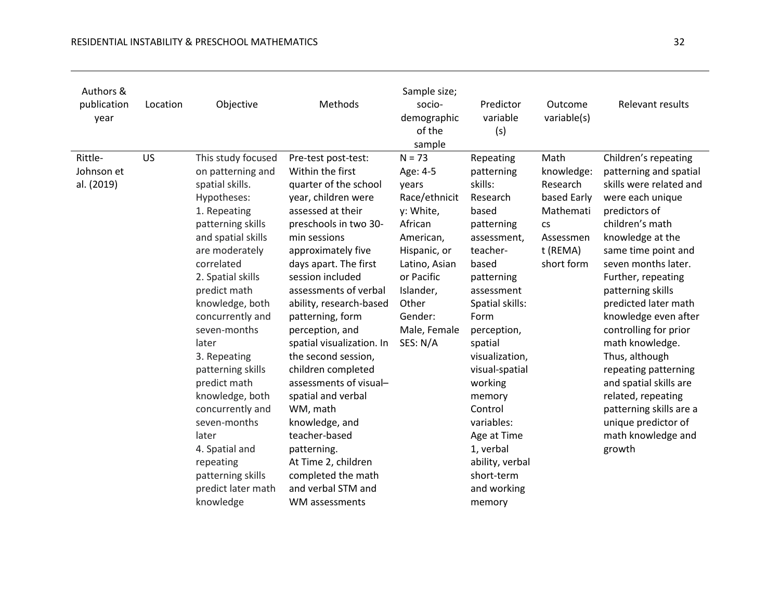| Authors &<br>publication<br>Location<br>year | Objective                                                                                                                                                                                                                                                                                                                                                                                                                                                                             | Methods                                                                                                                                                                                                                                                                                                                                                                                                                                                                                                                                                                                          | Sample size;<br>socio-<br>demographic<br>of the<br>sample                                                                                                                                       | Predictor<br>variable<br>(s)                                                                                                                                                                                                                                                                                                                                       | Outcome<br>variable(s)                                                                                         | Relevant results                                                                                                                                                                                                                                                                                                                                                                                                                                                                                                       |
|----------------------------------------------|---------------------------------------------------------------------------------------------------------------------------------------------------------------------------------------------------------------------------------------------------------------------------------------------------------------------------------------------------------------------------------------------------------------------------------------------------------------------------------------|--------------------------------------------------------------------------------------------------------------------------------------------------------------------------------------------------------------------------------------------------------------------------------------------------------------------------------------------------------------------------------------------------------------------------------------------------------------------------------------------------------------------------------------------------------------------------------------------------|-------------------------------------------------------------------------------------------------------------------------------------------------------------------------------------------------|--------------------------------------------------------------------------------------------------------------------------------------------------------------------------------------------------------------------------------------------------------------------------------------------------------------------------------------------------------------------|----------------------------------------------------------------------------------------------------------------|------------------------------------------------------------------------------------------------------------------------------------------------------------------------------------------------------------------------------------------------------------------------------------------------------------------------------------------------------------------------------------------------------------------------------------------------------------------------------------------------------------------------|
| US<br>Rittle-<br>Johnson et<br>al. (2019)    | This study focused<br>on patterning and<br>spatial skills.<br>Hypotheses:<br>1. Repeating<br>patterning skills<br>and spatial skills<br>are moderately<br>correlated<br>2. Spatial skills<br>predict math<br>knowledge, both<br>concurrently and<br>seven-months<br>later<br>3. Repeating<br>patterning skills<br>predict math<br>knowledge, both<br>concurrently and<br>seven-months<br>later<br>4. Spatial and<br>repeating<br>patterning skills<br>predict later math<br>knowledge | Pre-test post-test:<br>Within the first<br>quarter of the school<br>year, children were<br>assessed at their<br>preschools in two 30-<br>min sessions<br>approximately five<br>days apart. The first<br>session included<br>assessments of verbal<br>ability, research-based<br>patterning, form<br>perception, and<br>spatial visualization. In<br>the second session,<br>children completed<br>assessments of visual-<br>spatial and verbal<br>WM, math<br>knowledge, and<br>teacher-based<br>patterning.<br>At Time 2, children<br>completed the math<br>and verbal STM and<br>WM assessments | $N = 73$<br>Age: 4-5<br>years<br>Race/ethnicit<br>y: White,<br>African<br>American,<br>Hispanic, or<br>Latino, Asian<br>or Pacific<br>Islander,<br>Other<br>Gender:<br>Male, Female<br>SES: N/A | Repeating<br>patterning<br>skills:<br>Research<br>based<br>patterning<br>assessment,<br>teacher-<br>based<br>patterning<br>assessment<br>Spatial skills:<br>Form<br>perception,<br>spatial<br>visualization,<br>visual-spatial<br>working<br>memory<br>Control<br>variables:<br>Age at Time<br>1, verbal<br>ability, verbal<br>short-term<br>and working<br>memory | Math<br>knowledge:<br>Research<br>based Early<br>Mathemati<br><b>CS</b><br>Assessmen<br>t (REMA)<br>short form | Children's repeating<br>patterning and spatial<br>skills were related and<br>were each unique<br>predictors of<br>children's math<br>knowledge at the<br>same time point and<br>seven months later.<br>Further, repeating<br>patterning skills<br>predicted later math<br>knowledge even after<br>controlling for prior<br>math knowledge.<br>Thus, although<br>repeating patterning<br>and spatial skills are<br>related, repeating<br>patterning skills are a<br>unique predictor of<br>math knowledge and<br>growth |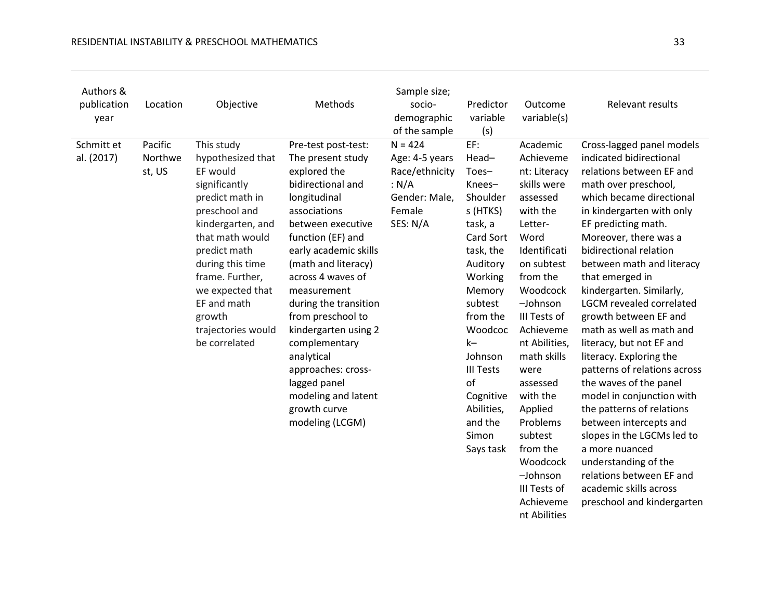| Authors &<br>publication<br>year | Location                     | Objective                                                                                                                                                                                                                                                                           | Methods                                                                                                                                                                                                                                                                                                                                                                                                                                          | Sample size;<br>socio-<br>demographic<br>of the sample                                        | Predictor<br>variable<br>(s)                                                                                                                                                                                                                                             | Outcome<br>variable(s)                                                                                                                                                                                                                                                                                                                                                            | Relevant results                                                                                                                                                                                                                                                                                                                                                                                                                                                                                                                                                                                                                                                                                                                                                                 |
|----------------------------------|------------------------------|-------------------------------------------------------------------------------------------------------------------------------------------------------------------------------------------------------------------------------------------------------------------------------------|--------------------------------------------------------------------------------------------------------------------------------------------------------------------------------------------------------------------------------------------------------------------------------------------------------------------------------------------------------------------------------------------------------------------------------------------------|-----------------------------------------------------------------------------------------------|--------------------------------------------------------------------------------------------------------------------------------------------------------------------------------------------------------------------------------------------------------------------------|-----------------------------------------------------------------------------------------------------------------------------------------------------------------------------------------------------------------------------------------------------------------------------------------------------------------------------------------------------------------------------------|----------------------------------------------------------------------------------------------------------------------------------------------------------------------------------------------------------------------------------------------------------------------------------------------------------------------------------------------------------------------------------------------------------------------------------------------------------------------------------------------------------------------------------------------------------------------------------------------------------------------------------------------------------------------------------------------------------------------------------------------------------------------------------|
| Schmitt et<br>al. (2017)         | Pacific<br>Northwe<br>st, US | This study<br>hypothesized that<br>EF would<br>significantly<br>predict math in<br>preschool and<br>kindergarten, and<br>that math would<br>predict math<br>during this time<br>frame. Further,<br>we expected that<br>EF and math<br>growth<br>trajectories would<br>be correlated | Pre-test post-test:<br>The present study<br>explored the<br>bidirectional and<br>longitudinal<br>associations<br>between executive<br>function (EF) and<br>early academic skills<br>(math and literacy)<br>across 4 waves of<br>measurement<br>during the transition<br>from preschool to<br>kindergarten using 2<br>complementary<br>analytical<br>approaches: cross-<br>lagged panel<br>modeling and latent<br>growth curve<br>modeling (LCGM) | $N = 424$<br>Age: 4-5 years<br>Race/ethnicity<br>: N/A<br>Gender: Male,<br>Female<br>SES: N/A | EF:<br>Head-<br>Toes-<br>Knees-<br>Shoulder<br>s (HTKS)<br>task, a<br>Card Sort<br>task, the<br>Auditory<br>Working<br>Memory<br>subtest<br>from the<br>Woodcoc<br>$k-$<br>Johnson<br><b>III Tests</b><br>of<br>Cognitive<br>Abilities,<br>and the<br>Simon<br>Says task | Academic<br>Achieveme<br>nt: Literacy<br>skills were<br>assessed<br>with the<br>Letter-<br>Word<br>Identificati<br>on subtest<br>from the<br>Woodcock<br>-Johnson<br>III Tests of<br>Achieveme<br>nt Abilities,<br>math skills<br>were<br>assessed<br>with the<br>Applied<br>Problems<br>subtest<br>from the<br>Woodcock<br>-Johnson<br>III Tests of<br>Achieveme<br>nt Abilities | Cross-lagged panel models<br>indicated bidirectional<br>relations between EF and<br>math over preschool,<br>which became directional<br>in kindergarten with only<br>EF predicting math.<br>Moreover, there was a<br>bidirectional relation<br>between math and literacy<br>that emerged in<br>kindergarten. Similarly,<br><b>LGCM</b> revealed correlated<br>growth between EF and<br>math as well as math and<br>literacy, but not EF and<br>literacy. Exploring the<br>patterns of relations across<br>the waves of the panel<br>model in conjunction with<br>the patterns of relations<br>between intercepts and<br>slopes in the LGCMs led to<br>a more nuanced<br>understanding of the<br>relations between EF and<br>academic skills across<br>preschool and kindergarten |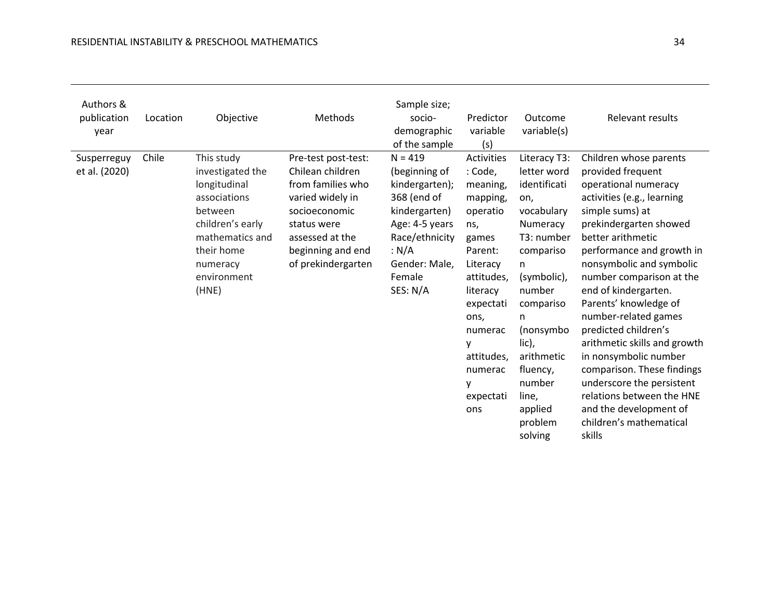| Authors &<br>publication<br>year | Location | Objective                                                                                                                                                          | Methods                                                                                                                                                                        | Sample size;<br>socio-<br>demographic<br>of the sample                                                                                                           | Predictor<br>variable<br>(s)                                                                                                                                                                                      | Outcome<br>variable(s)                                                                                                                                                                                                                                        | <b>Relevant results</b>                                                                                                                                                                                                                                                                                                                                                                                                                                                                                                                                                   |
|----------------------------------|----------|--------------------------------------------------------------------------------------------------------------------------------------------------------------------|--------------------------------------------------------------------------------------------------------------------------------------------------------------------------------|------------------------------------------------------------------------------------------------------------------------------------------------------------------|-------------------------------------------------------------------------------------------------------------------------------------------------------------------------------------------------------------------|---------------------------------------------------------------------------------------------------------------------------------------------------------------------------------------------------------------------------------------------------------------|---------------------------------------------------------------------------------------------------------------------------------------------------------------------------------------------------------------------------------------------------------------------------------------------------------------------------------------------------------------------------------------------------------------------------------------------------------------------------------------------------------------------------------------------------------------------------|
| Susperreguy<br>et al. (2020)     | Chile    | This study<br>investigated the<br>longitudinal<br>associations<br>between<br>children's early<br>mathematics and<br>their home<br>numeracy<br>environment<br>(HNE) | Pre-test post-test:<br>Chilean children<br>from families who<br>varied widely in<br>socioeconomic<br>status were<br>assessed at the<br>beginning and end<br>of prekindergarten | $N = 419$<br>(beginning of<br>kindergarten);<br>368 (end of<br>kindergarten)<br>Age: 4-5 years<br>Race/ethnicity<br>: N/A<br>Gender: Male,<br>Female<br>SES: N/A | Activities<br>: Code,<br>meaning,<br>mapping,<br>operatio<br>ns,<br>games<br>Parent:<br>Literacy<br>attitudes.<br>literacy<br>expectati<br>ons,<br>numerac<br>٧<br>attitudes,<br>numerac<br>٧<br>expectati<br>ons | Literacy T3:<br>letter word<br>identificati<br>on,<br>vocabulary<br>Numeracy<br>T3: number<br>compariso<br>n.<br>(symbolic),<br>number<br>compariso<br>n.<br>(nonsymbo<br>lic),<br>arithmetic<br>fluency,<br>number<br>line,<br>applied<br>problem<br>solving | Children whose parents<br>provided frequent<br>operational numeracy<br>activities (e.g., learning<br>simple sums) at<br>prekindergarten showed<br>better arithmetic<br>performance and growth in<br>nonsymbolic and symbolic<br>number comparison at the<br>end of kindergarten.<br>Parents' knowledge of<br>number-related games<br>predicted children's<br>arithmetic skills and growth<br>in nonsymbolic number<br>comparison. These findings<br>underscore the persistent<br>relations between the HNE<br>and the development of<br>children's mathematical<br>skills |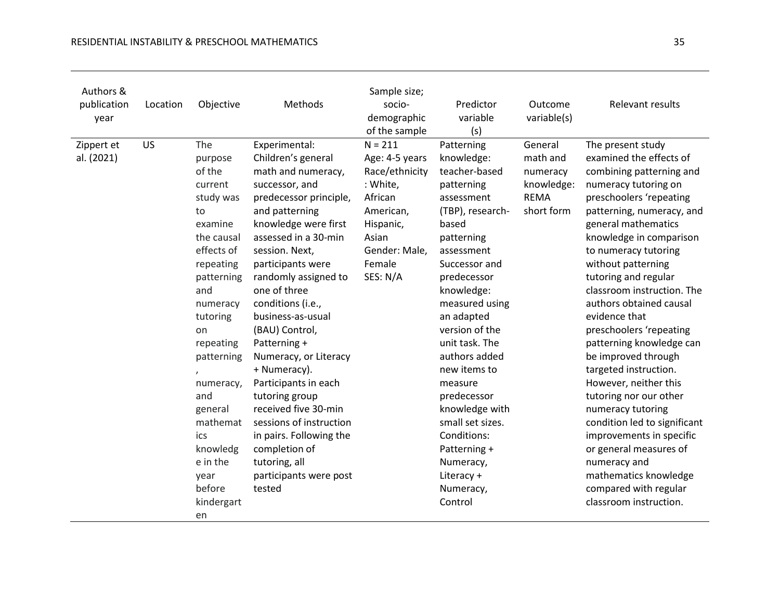| Authors &<br>publication<br>year | Location  | Objective                                                                                                                                                                                                                                                                                                | Methods                                                                                                                                                                                                                                                                                                                                                                                                                                                                                                                                                                   | Sample size;<br>socio-<br>demographic<br>of the sample                                                                                         | Predictor<br>variable<br>(s)                                                                                                                                                                                                                                                                                                                                                                                                        | Outcome<br>variable(s)                                                     | Relevant results                                                                                                                                                                                                                                                                                                                                                                                                                                                                                                                                                                                                                                                                                                            |
|----------------------------------|-----------|----------------------------------------------------------------------------------------------------------------------------------------------------------------------------------------------------------------------------------------------------------------------------------------------------------|---------------------------------------------------------------------------------------------------------------------------------------------------------------------------------------------------------------------------------------------------------------------------------------------------------------------------------------------------------------------------------------------------------------------------------------------------------------------------------------------------------------------------------------------------------------------------|------------------------------------------------------------------------------------------------------------------------------------------------|-------------------------------------------------------------------------------------------------------------------------------------------------------------------------------------------------------------------------------------------------------------------------------------------------------------------------------------------------------------------------------------------------------------------------------------|----------------------------------------------------------------------------|-----------------------------------------------------------------------------------------------------------------------------------------------------------------------------------------------------------------------------------------------------------------------------------------------------------------------------------------------------------------------------------------------------------------------------------------------------------------------------------------------------------------------------------------------------------------------------------------------------------------------------------------------------------------------------------------------------------------------------|
| Zippert et<br>al. (2021)         | <b>US</b> | The<br>purpose<br>of the<br>current<br>study was<br>to<br>examine<br>the causal<br>effects of<br>repeating<br>patterning<br>and<br>numeracy<br>tutoring<br>on<br>repeating<br>patterning<br>numeracy,<br>and<br>general<br>mathemat<br>ics<br>knowledg<br>e in the<br>year<br>before<br>kindergart<br>en | Experimental:<br>Children's general<br>math and numeracy,<br>successor, and<br>predecessor principle,<br>and patterning<br>knowledge were first<br>assessed in a 30-min<br>session. Next,<br>participants were<br>randomly assigned to<br>one of three<br>conditions (i.e.,<br>business-as-usual<br>(BAU) Control,<br>Patterning +<br>Numeracy, or Literacy<br>+ Numeracy).<br>Participants in each<br>tutoring group<br>received five 30-min<br>sessions of instruction<br>in pairs. Following the<br>completion of<br>tutoring, all<br>participants were post<br>tested | $N = 211$<br>Age: 4-5 years<br>Race/ethnicity<br>: White,<br>African<br>American,<br>Hispanic,<br>Asian<br>Gender: Male,<br>Female<br>SES: N/A | Patterning<br>knowledge:<br>teacher-based<br>patterning<br>assessment<br>(TBP), research-<br>based<br>patterning<br>assessment<br>Successor and<br>predecessor<br>knowledge:<br>measured using<br>an adapted<br>version of the<br>unit task. The<br>authors added<br>new items to<br>measure<br>predecessor<br>knowledge with<br>small set sizes.<br>Conditions:<br>Patterning +<br>Numeracy,<br>Literacy +<br>Numeracy,<br>Control | General<br>math and<br>numeracy<br>knowledge:<br><b>REMA</b><br>short form | The present study<br>examined the effects of<br>combining patterning and<br>numeracy tutoring on<br>preschoolers 'repeating<br>patterning, numeracy, and<br>general mathematics<br>knowledge in comparison<br>to numeracy tutoring<br>without patterning<br>tutoring and regular<br>classroom instruction. The<br>authors obtained causal<br>evidence that<br>preschoolers 'repeating<br>patterning knowledge can<br>be improved through<br>targeted instruction.<br>However, neither this<br>tutoring nor our other<br>numeracy tutoring<br>condition led to significant<br>improvements in specific<br>or general measures of<br>numeracy and<br>mathematics knowledge<br>compared with regular<br>classroom instruction. |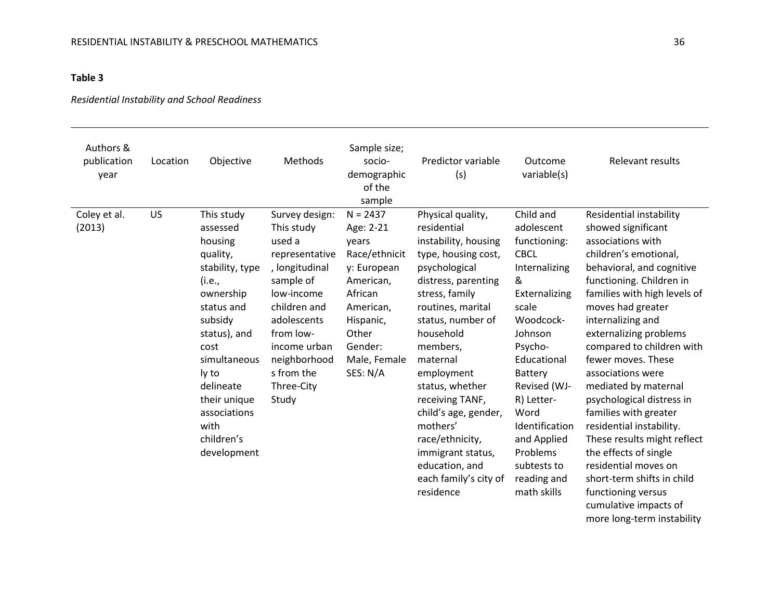## **Table 3**

## *Residential Instability and School Readiness*

| Authors &<br>publication<br>year | Location | Objective                                                                                                                                                                                                                                           | Methods                                                                                                                                                                                                                | Sample size;<br>socio-<br>demographic<br>of the<br>sample                                                                                                          | Predictor variable<br>(s)                                                                                                                                                                                                                                                                                                                                                                                        | Outcome<br>variable(s)                                                                                                                                                                                                                                                                              | Relevant results                                                                                                                                                                                                                                                                                                                                                                                                                                                                                                                                                                                        |
|----------------------------------|----------|-----------------------------------------------------------------------------------------------------------------------------------------------------------------------------------------------------------------------------------------------------|------------------------------------------------------------------------------------------------------------------------------------------------------------------------------------------------------------------------|--------------------------------------------------------------------------------------------------------------------------------------------------------------------|------------------------------------------------------------------------------------------------------------------------------------------------------------------------------------------------------------------------------------------------------------------------------------------------------------------------------------------------------------------------------------------------------------------|-----------------------------------------------------------------------------------------------------------------------------------------------------------------------------------------------------------------------------------------------------------------------------------------------------|---------------------------------------------------------------------------------------------------------------------------------------------------------------------------------------------------------------------------------------------------------------------------------------------------------------------------------------------------------------------------------------------------------------------------------------------------------------------------------------------------------------------------------------------------------------------------------------------------------|
| Coley et al.<br>(2013)           | US       | This study<br>assessed<br>housing<br>quality,<br>stability, type<br>(i.e.,<br>ownership<br>status and<br>subsidy<br>status), and<br>cost<br>simultaneous<br>ly to<br>delineate<br>their unique<br>associations<br>with<br>children's<br>development | Survey design:<br>This study<br>used a<br>representative<br>, longitudinal<br>sample of<br>low-income<br>children and<br>adolescents<br>from low-<br>income urban<br>neighborhood<br>s from the<br>Three-City<br>Study | $N = 2437$<br>Age: 2-21<br>vears<br>Race/ethnicit<br>y: European<br>American,<br>African<br>American,<br>Hispanic,<br>Other<br>Gender:<br>Male, Female<br>SES: N/A | Physical quality,<br>residential<br>instability, housing<br>type, housing cost,<br>psychological<br>distress, parenting<br>stress, family<br>routines, marital<br>status, number of<br>household<br>members,<br>maternal<br>employment<br>status, whether<br>receiving TANF,<br>child's age, gender,<br>mothers'<br>race/ethnicity,<br>immigrant status,<br>education, and<br>each family's city of<br>residence | Child and<br>adolescent<br>functioning:<br><b>CBCL</b><br>Internalizing<br>&<br>Externalizing<br>scale<br>Woodcock-<br>Johnson<br>Psycho-<br>Educational<br>Battery<br>Revised (WJ-<br>R) Letter-<br>Word<br>Identification<br>and Applied<br>Problems<br>subtests to<br>reading and<br>math skills | Residential instability<br>showed significant<br>associations with<br>children's emotional,<br>behavioral, and cognitive<br>functioning. Children in<br>families with high levels of<br>moves had greater<br>internalizing and<br>externalizing problems<br>compared to children with<br>fewer moves. These<br>associations were<br>mediated by maternal<br>psychological distress in<br>families with greater<br>residential instability.<br>These results might reflect<br>the effects of single<br>residential moves on<br>short-term shifts in child<br>functioning versus<br>cumulative impacts of |

more long-term instability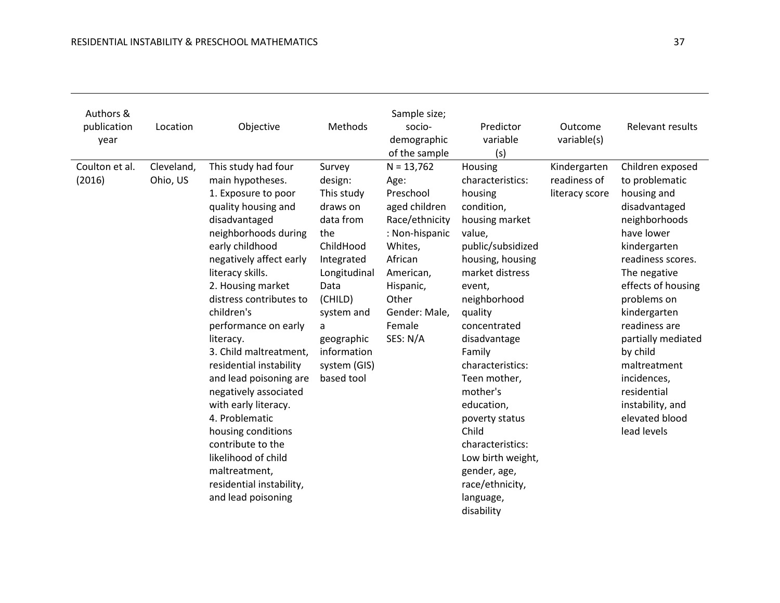| Authors &<br>publication<br>year | Location               | Objective                                                                                                                                                                                                                                                                                                                                                                                                                                                                                                                                                                                  | Methods                                                                                                                                                                                                     | Sample size;<br>socio-<br>demographic<br>of the sample                                                                                                                                 | Predictor<br>variable<br>(s)                                                                                                                                                                                                                                                                                                                                                                                                | Outcome<br>variable(s)                         | Relevant results                                                                                                                                                                                                                                                                                                                                                  |
|----------------------------------|------------------------|--------------------------------------------------------------------------------------------------------------------------------------------------------------------------------------------------------------------------------------------------------------------------------------------------------------------------------------------------------------------------------------------------------------------------------------------------------------------------------------------------------------------------------------------------------------------------------------------|-------------------------------------------------------------------------------------------------------------------------------------------------------------------------------------------------------------|----------------------------------------------------------------------------------------------------------------------------------------------------------------------------------------|-----------------------------------------------------------------------------------------------------------------------------------------------------------------------------------------------------------------------------------------------------------------------------------------------------------------------------------------------------------------------------------------------------------------------------|------------------------------------------------|-------------------------------------------------------------------------------------------------------------------------------------------------------------------------------------------------------------------------------------------------------------------------------------------------------------------------------------------------------------------|
| Coulton et al.<br>(2016)         | Cleveland,<br>Ohio, US | This study had four<br>main hypotheses.<br>1. Exposure to poor<br>quality housing and<br>disadvantaged<br>neighborhoods during<br>early childhood<br>negatively affect early<br>literacy skills.<br>2. Housing market<br>distress contributes to<br>children's<br>performance on early<br>literacy.<br>3. Child maltreatment,<br>residential instability<br>and lead poisoning are<br>negatively associated<br>with early literacy.<br>4. Problematic<br>housing conditions<br>contribute to the<br>likelihood of child<br>maltreatment,<br>residential instability,<br>and lead poisoning | Survey<br>design:<br>This study<br>draws on<br>data from<br>the<br>ChildHood<br>Integrated<br>Longitudinal<br>Data<br>(CHILD)<br>system and<br>a<br>geographic<br>information<br>system (GIS)<br>based tool | $N = 13,762$<br>Age:<br>Preschool<br>aged children<br>Race/ethnicity<br>: Non-hispanic<br>Whites,<br>African<br>American,<br>Hispanic,<br>Other<br>Gender: Male,<br>Female<br>SES: N/A | Housing<br>characteristics:<br>housing<br>condition,<br>housing market<br>value,<br>public/subsidized<br>housing, housing<br>market distress<br>event,<br>neighborhood<br>quality<br>concentrated<br>disadvantage<br>Family<br>characteristics:<br>Teen mother,<br>mother's<br>education,<br>poverty status<br>Child<br>characteristics:<br>Low birth weight,<br>gender, age,<br>race/ethnicity,<br>language,<br>disability | Kindergarten<br>readiness of<br>literacy score | Children exposed<br>to problematic<br>housing and<br>disadvantaged<br>neighborhoods<br>have lower<br>kindergarten<br>readiness scores.<br>The negative<br>effects of housing<br>problems on<br>kindergarten<br>readiness are<br>partially mediated<br>by child<br>maltreatment<br>incidences,<br>residential<br>instability, and<br>elevated blood<br>lead levels |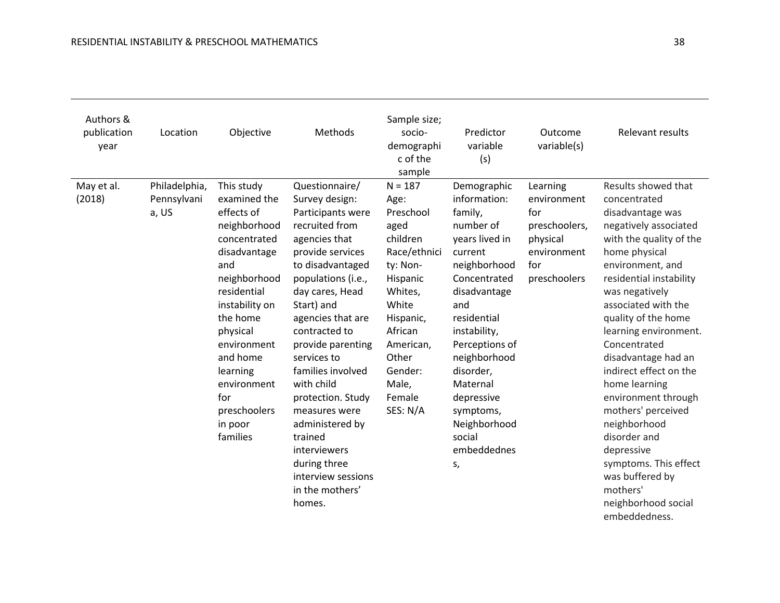| Authors &<br>publication<br>year | Location                              | Objective                                                                                                                                                                                                                                                                    | Methods                                                                                                                                                                                                                                                                                                                                                                                                                                                            | Sample size;<br>socio-<br>demographi<br>c of the<br>sample                                                                                                                                             | Predictor<br>variable<br>(s)                                                                                                                                                                                                                                                                                | Outcome<br>variable(s)                                                                            | <b>Relevant results</b>                                                                                                                                                                                                                                                                                                                                                                                                                                                                                                                           |
|----------------------------------|---------------------------------------|------------------------------------------------------------------------------------------------------------------------------------------------------------------------------------------------------------------------------------------------------------------------------|--------------------------------------------------------------------------------------------------------------------------------------------------------------------------------------------------------------------------------------------------------------------------------------------------------------------------------------------------------------------------------------------------------------------------------------------------------------------|--------------------------------------------------------------------------------------------------------------------------------------------------------------------------------------------------------|-------------------------------------------------------------------------------------------------------------------------------------------------------------------------------------------------------------------------------------------------------------------------------------------------------------|---------------------------------------------------------------------------------------------------|---------------------------------------------------------------------------------------------------------------------------------------------------------------------------------------------------------------------------------------------------------------------------------------------------------------------------------------------------------------------------------------------------------------------------------------------------------------------------------------------------------------------------------------------------|
| May et al.<br>(2018)             | Philadelphia,<br>Pennsylvani<br>a, US | This study<br>examined the<br>effects of<br>neighborhood<br>concentrated<br>disadvantage<br>and<br>neighborhood<br>residential<br>instability on<br>the home<br>physical<br>environment<br>and home<br>learning<br>environment<br>for<br>preschoolers<br>in poor<br>families | Questionnaire/<br>Survey design:<br>Participants were<br>recruited from<br>agencies that<br>provide services<br>to disadvantaged<br>populations (i.e.,<br>day cares, Head<br>Start) and<br>agencies that are<br>contracted to<br>provide parenting<br>services to<br>families involved<br>with child<br>protection. Study<br>measures were<br>administered by<br>trained<br><i>interviewers</i><br>during three<br>interview sessions<br>in the mothers'<br>homes. | $N = 187$<br>Age:<br>Preschool<br>aged<br>children<br>Race/ethnici<br>ty: Non-<br>Hispanic<br>Whites,<br>White<br>Hispanic,<br>African<br>American,<br>Other<br>Gender:<br>Male,<br>Female<br>SES: N/A | Demographic<br>information:<br>family,<br>number of<br>years lived in<br>current<br>neighborhood<br>Concentrated<br>disadvantage<br>and<br>residential<br>instability,<br>Perceptions of<br>neighborhood<br>disorder,<br>Maternal<br>depressive<br>symptoms,<br>Neighborhood<br>social<br>embeddednes<br>S, | Learning<br>environment<br>for<br>preschoolers,<br>physical<br>environment<br>for<br>preschoolers | Results showed that<br>concentrated<br>disadvantage was<br>negatively associated<br>with the quality of the<br>home physical<br>environment, and<br>residential instability<br>was negatively<br>associated with the<br>quality of the home<br>learning environment.<br>Concentrated<br>disadvantage had an<br>indirect effect on the<br>home learning<br>environment through<br>mothers' perceived<br>neighborhood<br>disorder and<br>depressive<br>symptoms. This effect<br>was buffered by<br>mothers'<br>neighborhood social<br>embeddedness. |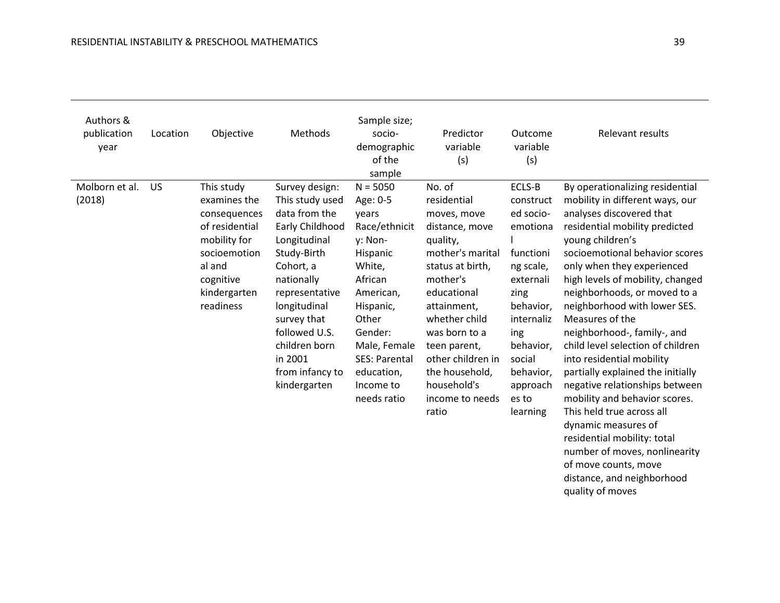| Authors &<br>publication<br>year | Location  | Objective                                                                                                                                        | Methods                                                                                                                                                                                                                                                          | Sample size;<br>socio-<br>demographic<br>of the<br>sample                                                                                                                                                             | Predictor<br>variable<br>(s)                                                                                                                                                                                                                                                             | Outcome<br>variable<br>(s)                                                                                                                                                                         | Relevant results                                                                                                                                                                                                                                                                                                                                                                                                                                                                                                                                                                                                                                                                                                                                   |
|----------------------------------|-----------|--------------------------------------------------------------------------------------------------------------------------------------------------|------------------------------------------------------------------------------------------------------------------------------------------------------------------------------------------------------------------------------------------------------------------|-----------------------------------------------------------------------------------------------------------------------------------------------------------------------------------------------------------------------|------------------------------------------------------------------------------------------------------------------------------------------------------------------------------------------------------------------------------------------------------------------------------------------|----------------------------------------------------------------------------------------------------------------------------------------------------------------------------------------------------|----------------------------------------------------------------------------------------------------------------------------------------------------------------------------------------------------------------------------------------------------------------------------------------------------------------------------------------------------------------------------------------------------------------------------------------------------------------------------------------------------------------------------------------------------------------------------------------------------------------------------------------------------------------------------------------------------------------------------------------------------|
| Molborn et al.<br>(2018)         | <b>US</b> | This study<br>examines the<br>consequences<br>of residential<br>mobility for<br>socioemotion<br>al and<br>cognitive<br>kindergarten<br>readiness | Survey design:<br>This study used<br>data from the<br>Early Childhood<br>Longitudinal<br>Study-Birth<br>Cohort, a<br>nationally<br>representative<br>longitudinal<br>survey that<br>followed U.S.<br>children born<br>in 2001<br>from infancy to<br>kindergarten | $N = 5050$<br>Age: 0-5<br>years<br>Race/ethnicit<br>y: Non-<br>Hispanic<br>White,<br>African<br>American,<br>Hispanic,<br>Other<br>Gender:<br>Male, Female<br>SES: Parental<br>education,<br>Income to<br>needs ratio | No. of<br>residential<br>moves, move<br>distance, move<br>quality,<br>mother's marital<br>status at birth,<br>mother's<br>educational<br>attainment,<br>whether child<br>was born to a<br>teen parent,<br>other children in<br>the household,<br>household's<br>income to needs<br>ratio | ECLS-B<br>construct<br>ed socio-<br>emotiona<br>functioni<br>ng scale,<br>externali<br>zing<br>behavior,<br>internaliz<br>ing<br>behavior,<br>social<br>behavior,<br>approach<br>es to<br>learning | By operationalizing residential<br>mobility in different ways, our<br>analyses discovered that<br>residential mobility predicted<br>young children's<br>socioemotional behavior scores<br>only when they experienced<br>high levels of mobility, changed<br>neighborhoods, or moved to a<br>neighborhood with lower SES.<br>Measures of the<br>neighborhood-, family-, and<br>child level selection of children<br>into residential mobility<br>partially explained the initially<br>negative relationships between<br>mobility and behavior scores.<br>This held true across all<br>dynamic measures of<br>residential mobility: total<br>number of moves, nonlinearity<br>of move counts, move<br>distance, and neighborhood<br>quality of moves |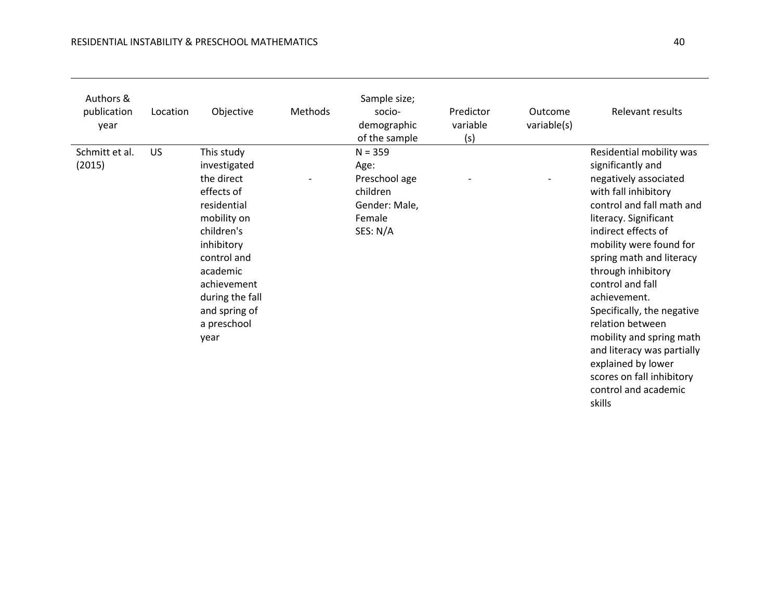| Authors &<br>publication<br>year | Location | Objective                                                                             | Methods | Sample size;<br>socio-<br>demographic<br>of the sample       | Predictor<br>variable<br>(s) | Outcome<br>variable(s) | <b>Relevant results</b>                                                                                                                                                                       |
|----------------------------------|----------|---------------------------------------------------------------------------------------|---------|--------------------------------------------------------------|------------------------------|------------------------|-----------------------------------------------------------------------------------------------------------------------------------------------------------------------------------------------|
| (2015)                           |          | investigated<br>the direct<br>effects of<br>residential<br>mobility on                |         | Age:<br>Preschool age<br>children<br>Gender: Male,<br>Female |                              |                        | significantly and<br>negatively associated<br>with fall inhibitory<br>control and fall math and<br>literacy. Significant                                                                      |
|                                  |          | children's<br>inhibitory<br>control and<br>academic<br>achievement<br>during the fall |         | SES: N/A                                                     |                              |                        | indirect effects of<br>mobility were found for<br>spring math and literacy<br>through inhibitory<br>control and fall<br>achievement.                                                          |
|                                  |          | and spring of<br>a preschool<br>year                                                  |         |                                                              |                              |                        | Specifically, the negative<br>relation between<br>mobility and spring math<br>and literacy was partially<br>explained by lower<br>scores on fall inhibitory<br>control and academic<br>skills |